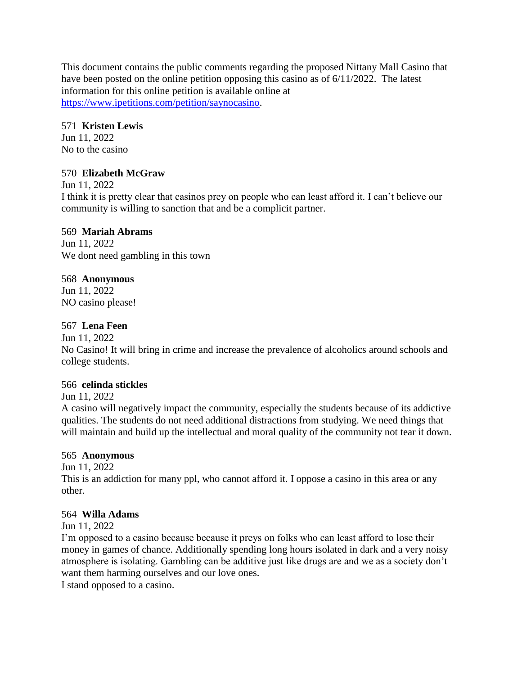This document contains the public comments regarding the proposed Nittany Mall Casino that have been posted on the online petition opposing this casino as of 6/11/2022. The latest information for this online petition is available online at [https://www.ipetitions.com/petition/saynocasino.](https://www.ipetitions.com/petition/saynocasino)

## 571 **Kristen Lewis**

Jun 11, 2022 No to the casino

# 570 **Elizabeth McGraw**

Jun 11, 2022

I think it is pretty clear that casinos prey on people who can least afford it. I can't believe our community is willing to sanction that and be a complicit partner.

# 569 **Mariah Abrams**

Jun 11, 2022 We dont need gambling in this town

# 568 **Anonymous**

Jun 11, 2022 NO casino please!

# 567 **Lena Feen**

Jun 11, 2022

No Casino! It will bring in crime and increase the prevalence of alcoholics around schools and college students.

# 566 **celinda stickles**

Jun 11, 2022

A casino will negatively impact the community, especially the students because of its addictive qualities. The students do not need additional distractions from studying. We need things that will maintain and build up the intellectual and moral quality of the community not tear it down.

# 565 **Anonymous**

Jun 11, 2022

This is an addiction for many ppl, who cannot afford it. I oppose a casino in this area or any other.

# 564 **Willa Adams**

Jun 11, 2022

I'm opposed to a casino because because it preys on folks who can least afford to lose their money in games of chance. Additionally spending long hours isolated in dark and a very noisy atmosphere is isolating. Gambling can be additive just like drugs are and we as a society don't want them harming ourselves and our love ones.

I stand opposed to a casino.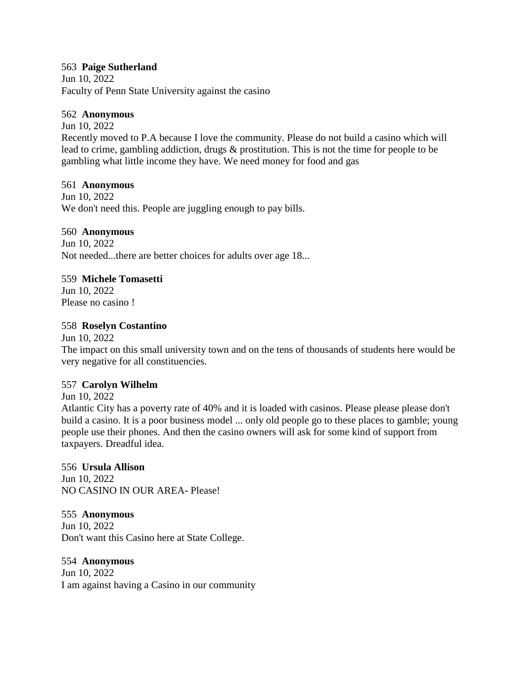## 563 **Paige Sutherland**

Jun 10, 2022 Faculty of Penn State University against the casino

## 562 **Anonymous**

Jun 10, 2022 Recently moved to P.A because I love the community. Please do not build a casino which will lead to crime, gambling addiction, drugs & prostitution. This is not the time for people to be gambling what little income they have. We need money for food and gas

## 561 **Anonymous**

Jun 10, 2022 We don't need this. People are juggling enough to pay bills.

## 560 **Anonymous**

Jun 10, 2022 Not needed...there are better choices for adults over age 18...

## 559 **Michele Tomasetti**

Jun 10, 2022 Please no casino !

# 558 **Roselyn Costantino**

Jun 10, 2022

The impact on this small university town and on the tens of thousands of students here would be very negative for all constituencies.

# 557 **Carolyn Wilhelm**

Jun 10, 2022

Atlantic City has a poverty rate of 40% and it is loaded with casinos. Please please please don't build a casino. It is a poor business model ... only old people go to these places to gamble; young people use their phones. And then the casino owners will ask for some kind of support from taxpayers. Dreadful idea.

## 556 **Ursula Allison**

Jun 10, 2022 NO CASINO IN OUR AREA- Please!

## 555 **Anonymous**

Jun 10, 2022 Don't want this Casino here at State College.

# 554 **Anonymous**

Jun 10, 2022 I am against having a Casino in our community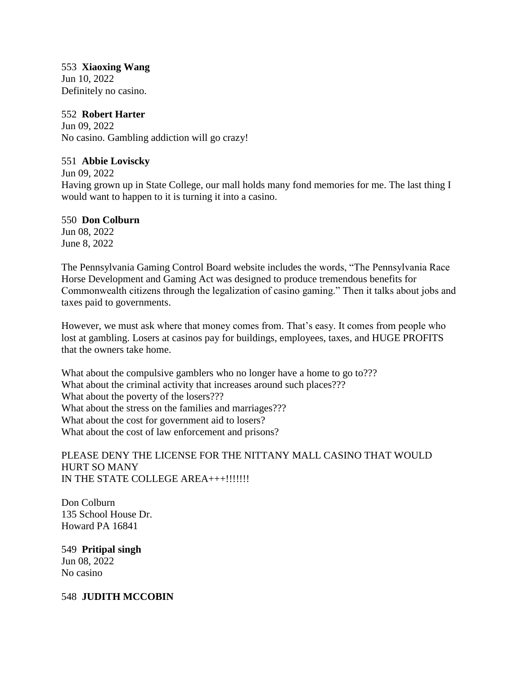## 553 **Xiaoxing Wang**

Jun 10, 2022 Definitely no casino.

# 552 **Robert Harter**

Jun 09, 2022 No casino. Gambling addiction will go crazy!

# 551 **Abbie Loviscky**

Jun 09, 2022

Having grown up in State College, our mall holds many fond memories for me. The last thing I would want to happen to it is turning it into a casino.

# 550 **Don Colburn**

Jun 08, 2022 June 8, 2022

The Pennsylvania Gaming Control Board website includes the words, "The Pennsylvania Race Horse Development and Gaming Act was designed to produce tremendous benefits for Commonwealth citizens through the legalization of casino gaming." Then it talks about jobs and taxes paid to governments.

However, we must ask where that money comes from. That's easy. It comes from people who lost at gambling. Losers at casinos pay for buildings, employees, taxes, and HUGE PROFITS that the owners take home.

What about the compulsive gamblers who no longer have a home to go to??? What about the criminal activity that increases around such places??? What about the poverty of the losers??? What about the stress on the families and marriages??? What about the cost for government aid to losers? What about the cost of law enforcement and prisons?

## PLEASE DENY THE LICENSE FOR THE NITTANY MALL CASINO THAT WOULD HURT SO MANY IN THE STATE COLLEGE AREA+++!!!!!!!

Don Colburn 135 School House Dr. Howard PA 16841

549 **Pritipal singh** Jun 08, 2022 No casino

548 **JUDITH MCCOBIN**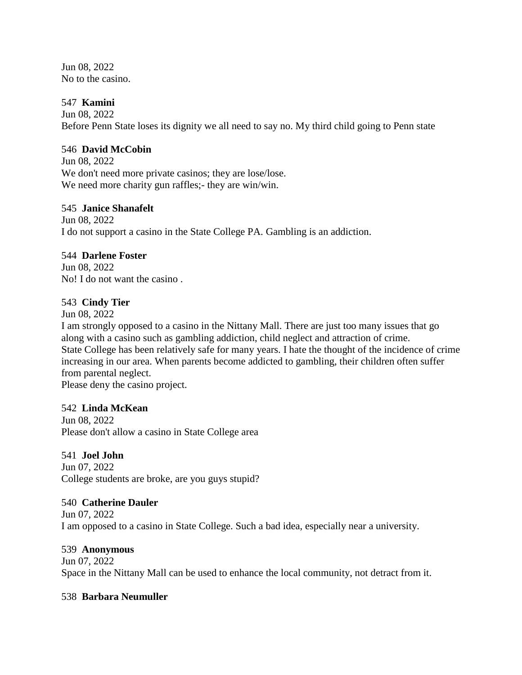Jun 08, 2022 No to the casino.

## 547 **Kamini**

Jun 08, 2022 Before Penn State loses its dignity we all need to say no. My third child going to Penn state

# 546 **David McCobin**

Jun 08, 2022 We don't need more private casinos; they are lose/lose. We need more charity gun raffles;- they are win/win.

#### 545 **Janice Shanafelt**

Jun 08, 2022 I do not support a casino in the State College PA. Gambling is an addiction.

## 544 **Darlene Foster**

Jun 08, 2022 No! I do not want the casino .

#### 543 **Cindy Tier**

Jun 08, 2022

I am strongly opposed to a casino in the Nittany Mall. There are just too many issues that go along with a casino such as gambling addiction, child neglect and attraction of crime. State College has been relatively safe for many years. I hate the thought of the incidence of crime increasing in our area. When parents become addicted to gambling, their children often suffer from parental neglect.

Please deny the casino project.

## 542 **Linda McKean**

Jun 08, 2022 Please don't allow a casino in State College area

## 541 **Joel John**

Jun 07, 2022 College students are broke, are you guys stupid?

#### 540 **Catherine Dauler**

Jun 07, 2022 I am opposed to a casino in State College. Such a bad idea, especially near a university.

## 539 **Anonymous**

Jun 07, 2022 Space in the Nittany Mall can be used to enhance the local community, not detract from it.

#### 538 **Barbara Neumuller**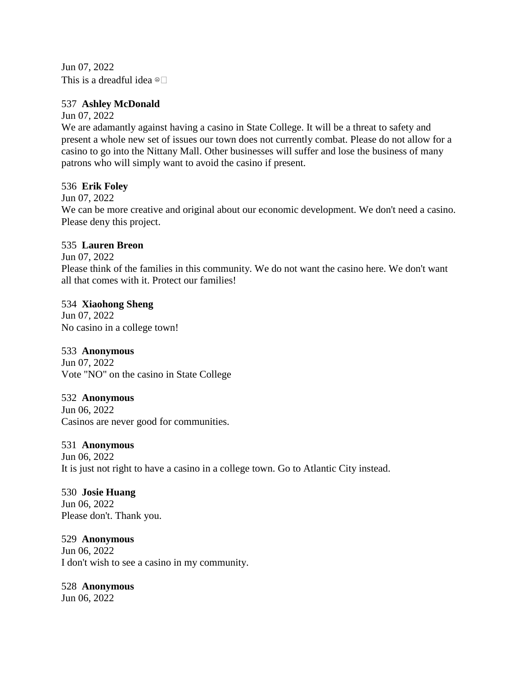Jun 07, 2022 This is a dreadful idea  $\circ$ 

## 537 **Ashley McDonald**

Jun 07, 2022

We are adamantly against having a casino in State College. It will be a threat to safety and present a whole new set of issues our town does not currently combat. Please do not allow for a casino to go into the Nittany Mall. Other businesses will suffer and lose the business of many patrons who will simply want to avoid the casino if present.

## 536 **Erik Foley**

Jun 07, 2022

We can be more creative and original about our economic development. We don't need a casino. Please deny this project.

## 535 **Lauren Breon**

Jun 07, 2022

Please think of the families in this community. We do not want the casino here. We don't want all that comes with it. Protect our families!

## 534 **Xiaohong Sheng**

Jun 07, 2022 No casino in a college town!

# 533 **Anonymous**

Jun 07, 2022 Vote "NO" on the casino in State College

# 532 **Anonymous**

Jun 06, 2022 Casinos are never good for communities.

## 531 **Anonymous**

Jun 06, 2022 It is just not right to have a casino in a college town. Go to Atlantic City instead.

## 530 **Josie Huang**

Jun 06, 2022 Please don't. Thank you.

# 529 **Anonymous**

Jun 06, 2022 I don't wish to see a casino in my community.

# 528 **Anonymous**

Jun 06, 2022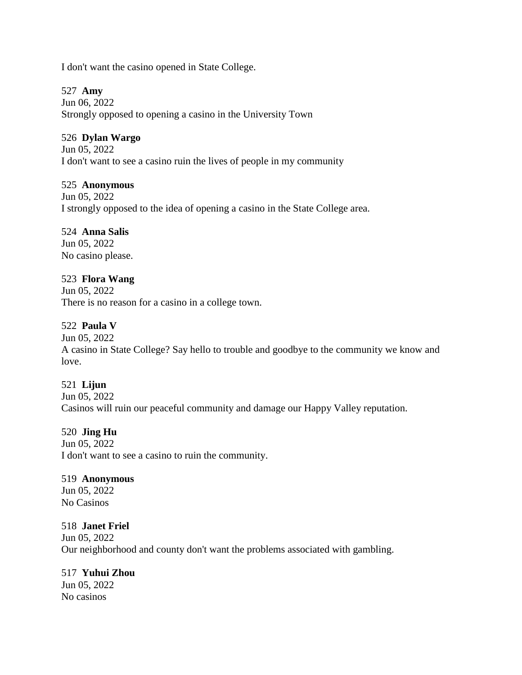I don't want the casino opened in State College.

527 **Amy**

Jun 06, 2022 Strongly opposed to opening a casino in the University Town

## 526 **Dylan Wargo**

Jun 05, 2022 I don't want to see a casino ruin the lives of people in my community

## 525 **Anonymous**

Jun 05, 2022 I strongly opposed to the idea of opening a casino in the State College area.

## 524 **Anna Salis**

Jun 05, 2022 No casino please.

## 523 **Flora Wang**

Jun 05, 2022 There is no reason for a casino in a college town.

# 522 **Paula V**

Jun 05, 2022

A casino in State College? Say hello to trouble and goodbye to the community we know and love.

## 521 **Lijun**

Jun 05, 2022 Casinos will ruin our peaceful community and damage our Happy Valley reputation.

## 520 **Jing Hu**

Jun 05, 2022 I don't want to see a casino to ruin the community.

#### 519 **Anonymous**

Jun 05, 2022 No Casinos

## 518 **Janet Friel**

Jun 05, 2022 Our neighborhood and county don't want the problems associated with gambling.

## 517 **Yuhui Zhou**

Jun 05, 2022 No casinos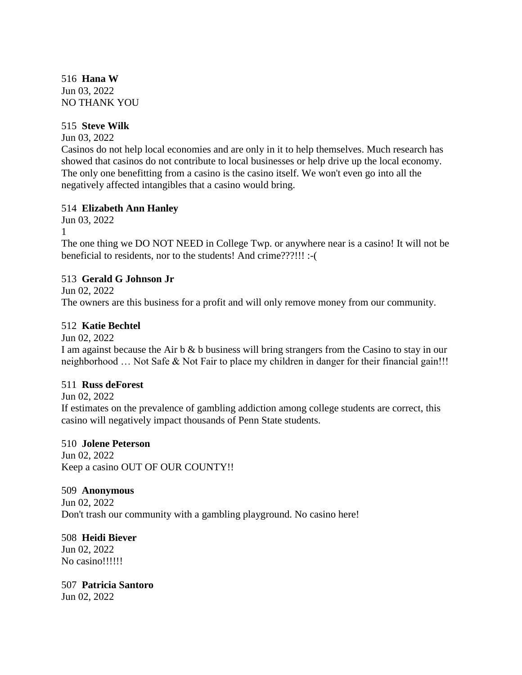516 **Hana W** Jun 03, 2022 NO THANK YOU

## 515 **Steve Wilk**

Jun 03, 2022

Casinos do not help local economies and are only in it to help themselves. Much research has showed that casinos do not contribute to local businesses or help drive up the local economy. The only one benefitting from a casino is the casino itself. We won't even go into all the negatively affected intangibles that a casino would bring.

## 514 **Elizabeth Ann Hanley**

Jun 03, 2022 1

The one thing we DO NOT NEED in College Twp. or anywhere near is a casino! It will not be beneficial to residents, nor to the students! And crime???!!! :-(

## 513 **Gerald G Johnson Jr**

Jun 02, 2022

The owners are this business for a profit and will only remove money from our community.

# 512 **Katie Bechtel**

Jun 02, 2022

I am against because the Air b & b business will bring strangers from the Casino to stay in our neighborhood ... Not Safe & Not Fair to place my children in danger for their financial gain!!!

## 511 **Russ deForest**

Jun 02, 2022

If estimates on the prevalence of gambling addiction among college students are correct, this casino will negatively impact thousands of Penn State students.

## 510 **Jolene Peterson**

Jun 02, 2022 Keep a casino OUT OF OUR COUNTY!!

## 509 **Anonymous**

Jun 02, 2022 Don't trash our community with a gambling playground. No casino here!

# 508 **Heidi Biever**

Jun 02, 2022 No casino!!!!!!

# 507 **Patricia Santoro**

Jun 02, 2022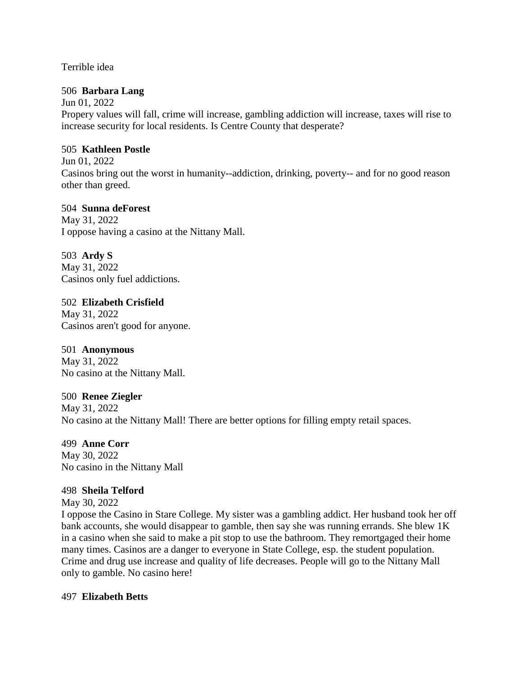Terrible idea

## 506 **Barbara Lang**

Jun 01, 2022 Propery values will fall, crime will increase, gambling addiction will increase, taxes will rise to increase security for local residents. Is Centre County that desperate?

## 505 **Kathleen Postle**

Jun 01, 2022 Casinos bring out the worst in humanity--addiction, drinking, poverty-- and for no good reason other than greed.

## 504 **Sunna deForest**

May 31, 2022 I oppose having a casino at the Nittany Mall.

503 **Ardy S** May 31, 2022

Casinos only fuel addictions.

# 502 **Elizabeth Crisfield**

May 31, 2022 Casinos aren't good for anyone.

# 501 **Anonymous**

May 31, 2022 No casino at the Nittany Mall.

# 500 **Renee Ziegler**

May 31, 2022 No casino at the Nittany Mall! There are better options for filling empty retail spaces.

# 499 **Anne Corr**

May 30, 2022 No casino in the Nittany Mall

# 498 **Sheila Telford**

May 30, 2022

I oppose the Casino in Stare College. My sister was a gambling addict. Her husband took her off bank accounts, she would disappear to gamble, then say she was running errands. She blew 1K in a casino when she said to make a pit stop to use the bathroom. They remortgaged their home many times. Casinos are a danger to everyone in State College, esp. the student population. Crime and drug use increase and quality of life decreases. People will go to the Nittany Mall only to gamble. No casino here!

# 497 **Elizabeth Betts**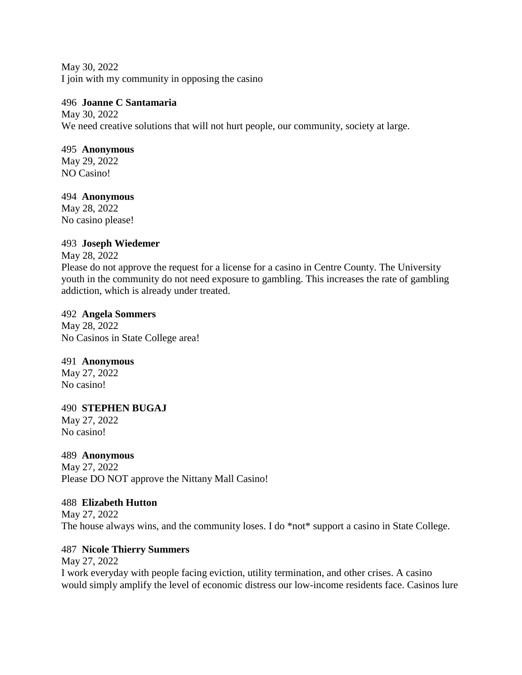May 30, 2022 I join with my community in opposing the casino

## 496 **Joanne C Santamaria**

May 30, 2022 We need creative solutions that will not hurt people, our community, society at large.

## 495 **Anonymous**

May 29, 2022 NO Casino!

# 494 **Anonymous**

May 28, 2022 No casino please!

# 493 **Joseph Wiedemer**

## May 28, 2022

Please do not approve the request for a license for a casino in Centre County. The University youth in the community do not need exposure to gambling. This increases the rate of gambling addiction, which is already under treated.

## 492 **Angela Sommers**

May 28, 2022 No Casinos in State College area!

# 491 **Anonymous**

May 27, 2022 No casino!

# 490 **STEPHEN BUGAJ**

May 27, 2022 No casino!

# 489 **Anonymous**

May 27, 2022 Please DO NOT approve the Nittany Mall Casino!

# 488 **Elizabeth Hutton**

May 27, 2022 The house always wins, and the community loses. I do \*not\* support a casino in State College.

# 487 **Nicole Thierry Summers**

May 27, 2022

I work everyday with people facing eviction, utility termination, and other crises. A casino would simply amplify the level of economic distress our low-income residents face. Casinos lure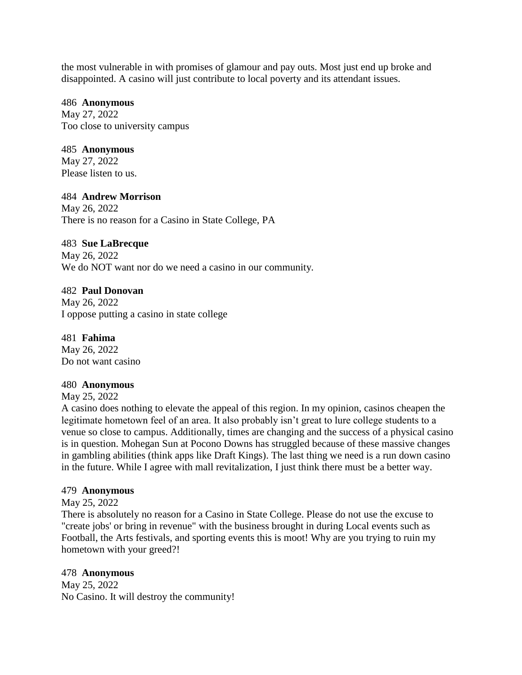the most vulnerable in with promises of glamour and pay outs. Most just end up broke and disappointed. A casino will just contribute to local poverty and its attendant issues.

#### 486 **Anonymous**

May 27, 2022 Too close to university campus

## 485 **Anonymous**

May 27, 2022 Please listen to us.

## 484 **Andrew Morrison**

May 26, 2022 There is no reason for a Casino in State College, PA

## 483 **Sue LaBrecque**

May 26, 2022 We do NOT want nor do we need a casino in our community.

## 482 **Paul Donovan**

May 26, 2022 I oppose putting a casino in state college

481 **Fahima**  May 26, 2022 Do not want casino

## 480 **Anonymous**

May 25, 2022

A casino does nothing to elevate the appeal of this region. In my opinion, casinos cheapen the legitimate hometown feel of an area. It also probably isn't great to lure college students to a venue so close to campus. Additionally, times are changing and the success of a physical casino is in question. Mohegan Sun at Pocono Downs has struggled because of these massive changes in gambling abilities (think apps like Draft Kings). The last thing we need is a run down casino in the future. While I agree with mall revitalization, I just think there must be a better way.

## 479 **Anonymous**

May 25, 2022

There is absolutely no reason for a Casino in State College. Please do not use the excuse to "create jobs' or bring in revenue" with the business brought in during Local events such as Football, the Arts festivals, and sporting events this is moot! Why are you trying to ruin my hometown with your greed?!

## 478 **Anonymous**

May 25, 2022 No Casino. It will destroy the community!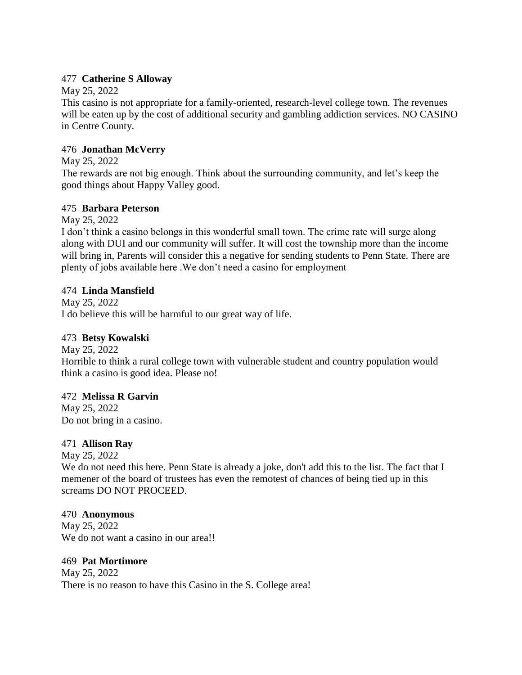## 477 **Catherine S Alloway**

## May 25, 2022

This casino is not appropriate for a family-oriented, research-level college town. The revenues will be eaten up by the cost of additional security and gambling addiction services. NO CASINO in Centre County.

## 476 **Jonathan McVerry**

## May 25, 2022

The rewards are not big enough. Think about the surrounding community, and let's keep the good things about Happy Valley good.

# 475 **Barbara Peterson**

May 25, 2022

I don't think a casino belongs in this wonderful small town. The crime rate will surge along along with DUI and our community will suffer. It will cost the township more than the income will bring in, Parents will consider this a negative for sending students to Penn State. There are plenty of jobs available here .We don't need a casino for employment

## 474 **Linda Mansfield**

May 25, 2022 I do believe this will be harmful to our great way of life.

## 473 **Betsy Kowalski**

May 25, 2022 Horrible to think a rural college town with vulnerable student and country population would think a casino is good idea. Please no!

# 472 **Melissa R Garvin**

May 25, 2022 Do not bring in a casino.

## 471 **Allison Ray**

May 25, 2022

We do not need this here. Penn State is already a joke, don't add this to the list. The fact that I memener of the board of trustees has even the remotest of chances of being tied up in this screams DO NOT PROCEED.

## 470 **Anonymous**

May 25, 2022 We do not want a casino in our area!!

469 **Pat Mortimore** May 25, 2022 There is no reason to have this Casino in the S. College area!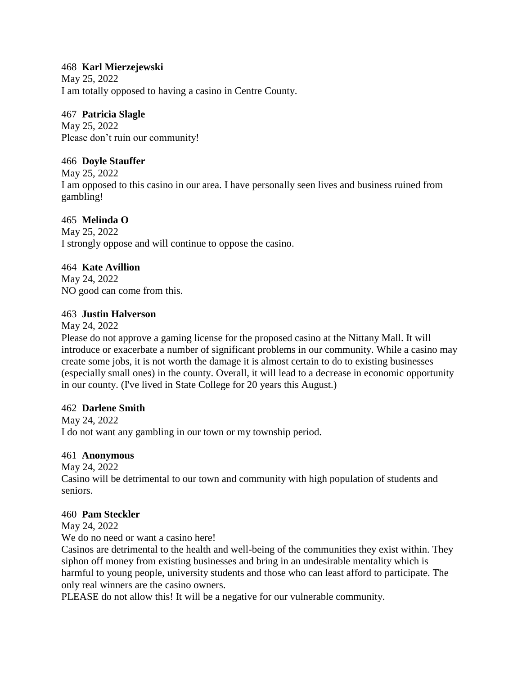## 468 **Karl Mierzejewski**

May 25, 2022 I am totally opposed to having a casino in Centre County.

# 467 **Patricia Slagle**

May 25, 2022 Please don't ruin our community!

# 466 **Doyle Stauffer**

May 25, 2022

I am opposed to this casino in our area. I have personally seen lives and business ruined from gambling!

# 465 **Melinda O**

May 25, 2022 I strongly oppose and will continue to oppose the casino.

# 464 **Kate Avillion**

May 24, 2022 NO good can come from this.

# 463 **Justin Halverson**

May 24, 2022

Please do not approve a gaming license for the proposed casino at the Nittany Mall. It will introduce or exacerbate a number of significant problems in our community. While a casino may create some jobs, it is not worth the damage it is almost certain to do to existing businesses (especially small ones) in the county. Overall, it will lead to a decrease in economic opportunity in our county. (I've lived in State College for 20 years this August.)

# 462 **Darlene Smith**

May 24, 2022 I do not want any gambling in our town or my township period.

# 461 **Anonymous**

May 24, 2022

Casino will be detrimental to our town and community with high population of students and seniors.

# 460 **Pam Steckler**

May 24, 2022

We do no need or want a casino here!

Casinos are detrimental to the health and well-being of the communities they exist within. They siphon off money from existing businesses and bring in an undesirable mentality which is harmful to young people, university students and those who can least afford to participate. The only real winners are the casino owners.

PLEASE do not allow this! It will be a negative for our vulnerable community.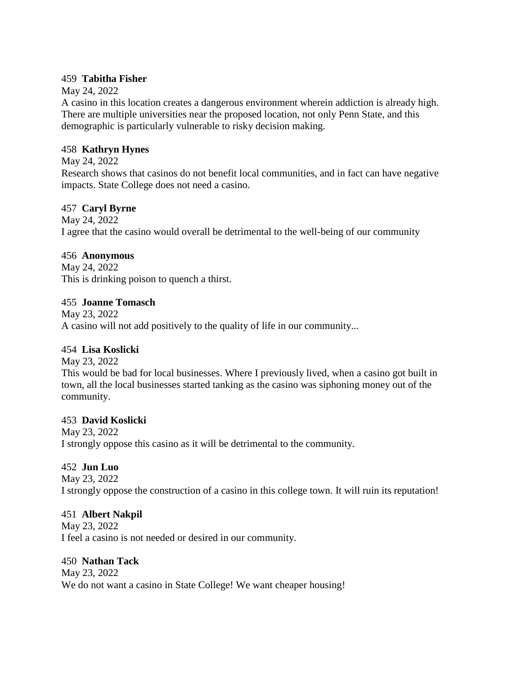## 459 **Tabitha Fisher**

## May 24, 2022

A casino in this location creates a dangerous environment wherein addiction is already high. There are multiple universities near the proposed location, not only Penn State, and this demographic is particularly vulnerable to risky decision making.

## 458 **Kathryn Hynes**

May 24, 2022

Research shows that casinos do not benefit local communities, and in fact can have negative impacts. State College does not need a casino.

# 457 **Caryl Byrne**

May 24, 2022 I agree that the casino would overall be detrimental to the well-being of our community

# 456 **Anonymous**

May 24, 2022 This is drinking poison to quench a thirst.

# 455 **Joanne Tomasch**

May 23, 2022 A casino will not add positively to the quality of life in our community...

# 454 **Lisa Koslicki**

May 23, 2022

This would be bad for local businesses. Where I previously lived, when a casino got built in town, all the local businesses started tanking as the casino was siphoning money out of the community.

# 453 **David Koslicki**

May 23, 2022 I strongly oppose this casino as it will be detrimental to the community.

# 452 **Jun Luo**

May 23, 2022 I strongly oppose the construction of a casino in this college town. It will ruin its reputation!

# 451 **Albert Nakpil**

May 23, 2022 I feel a casino is not needed or desired in our community.

## 450 **Nathan Tack**

May 23, 2022 We do not want a casino in State College! We want cheaper housing!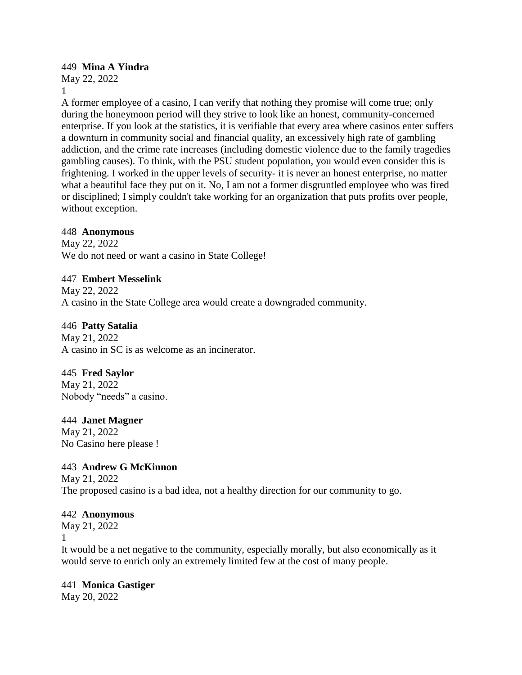## 449 **Mina A Yindra**

May 22, 2022 1

A former employee of a casino, I can verify that nothing they promise will come true; only during the honeymoon period will they strive to look like an honest, community-concerned enterprise. If you look at the statistics, it is verifiable that every area where casinos enter suffers a downturn in community social and financial quality, an excessively high rate of gambling addiction, and the crime rate increases (including domestic violence due to the family tragedies gambling causes). To think, with the PSU student population, you would even consider this is frightening. I worked in the upper levels of security- it is never an honest enterprise, no matter what a beautiful face they put on it. No, I am not a former disgruntled employee who was fired or disciplined; I simply couldn't take working for an organization that puts profits over people, without exception.

## 448 **Anonymous**

May 22, 2022 We do not need or want a casino in State College!

## 447 **Embert Messelink**

May 22, 2022 A casino in the State College area would create a downgraded community.

## 446 **Patty Satalia**

May 21, 2022 A casino in SC is as welcome as an incinerator.

## 445 **Fred Saylor**

May 21, 2022 Nobody "needs" a casino.

## 444 **Janet Magner**

May 21, 2022 No Casino here please !

# 443 **Andrew G McKinnon**

May 21, 2022 The proposed casino is a bad idea, not a healthy direction for our community to go.

## 442 **Anonymous**

May 21, 2022 1

It would be a net negative to the community, especially morally, but also economically as it would serve to enrich only an extremely limited few at the cost of many people.

## 441 **Monica Gastiger**

May 20, 2022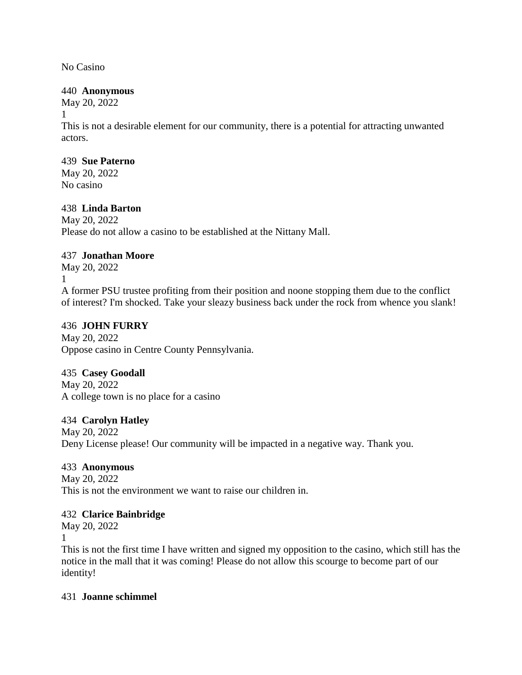No Casino

## 440 **Anonymous**

May 20, 2022

1

This is not a desirable element for our community, there is a potential for attracting unwanted actors.

## 439 **Sue Paterno**

May 20, 2022 No casino

# 438 **Linda Barton**

May 20, 2022 Please do not allow a casino to be established at the Nittany Mall.

# 437 **Jonathan Moore**

May 20, 2022

1

A former PSU trustee profiting from their position and noone stopping them due to the conflict of interest? I'm shocked. Take your sleazy business back under the rock from whence you slank!

# 436 **JOHN FURRY**

May 20, 2022 Oppose casino in Centre County Pennsylvania.

# 435 **Casey Goodall**

May 20, 2022 A college town is no place for a casino

# 434 **Carolyn Hatley**

May 20, 2022 Deny License please! Our community will be impacted in a negative way. Thank you.

# 433 **Anonymous**

May 20, 2022 This is not the environment we want to raise our children in.

# 432 **Clarice Bainbridge**

May 20, 2022

1

This is not the first time I have written and signed my opposition to the casino, which still has the notice in the mall that it was coming! Please do not allow this scourge to become part of our identity!

# 431 **Joanne schimmel**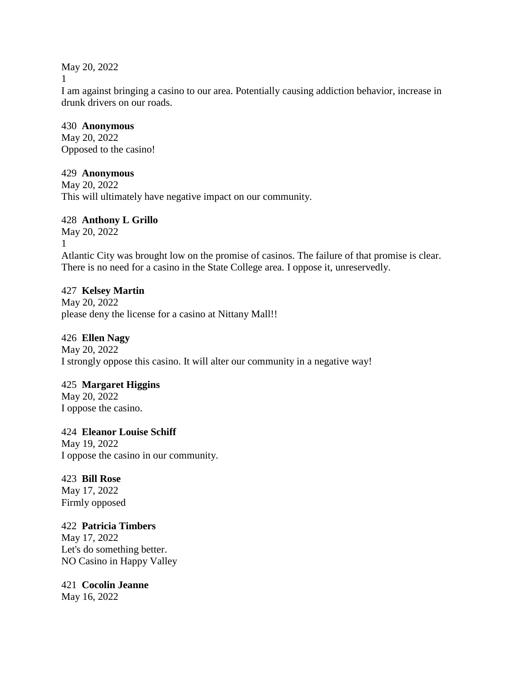May 20, 2022

1

I am against bringing a casino to our area. Potentially causing addiction behavior, increase in drunk drivers on our roads.

## 430 **Anonymous**

May 20, 2022 Opposed to the casino!

# 429 **Anonymous**

May 20, 2022 This will ultimately have negative impact on our community.

# 428 **Anthony L Grillo**

May 20, 2022 1 Atlantic City was brought low on the promise of casinos. The failure of that promise is clear. There is no need for a casino in the State College area. I oppose it, unreservedly.

# 427 **Kelsey Martin**

May 20, 2022 please deny the license for a casino at Nittany Mall!!

# 426 **Ellen Nagy**

May 20, 2022 I strongly oppose this casino. It will alter our community in a negative way!

# 425 **Margaret Higgins**

May 20, 2022 I oppose the casino.

# 424 **Eleanor Louise Schiff**

May 19, 2022 I oppose the casino in our community.

# 423 **Bill Rose**

May 17, 2022 Firmly opposed

# 422 **Patricia Timbers**

May 17, 2022 Let's do something better. NO Casino in Happy Valley

# 421 **Cocolin Jeanne**

May 16, 2022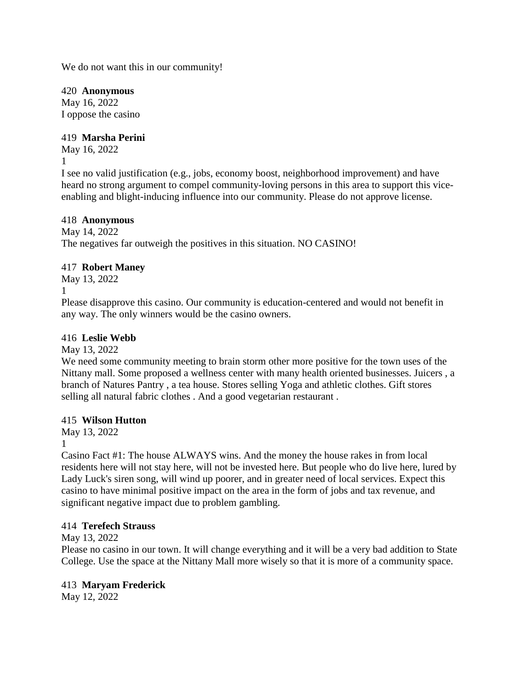We do not want this in our community!

420 **Anonymous**

May 16, 2022 I oppose the casino

# 419 **Marsha Perini**

May 16, 2022

1

I see no valid justification (e.g., jobs, economy boost, neighborhood improvement) and have heard no strong argument to compel community-loving persons in this area to support this viceenabling and blight-inducing influence into our community. Please do not approve license.

# 418 **Anonymous**

May 14, 2022 The negatives far outweigh the positives in this situation. NO CASINO!

# 417 **Robert Maney**

May 13, 2022

1

Please disapprove this casino. Our community is education-centered and would not benefit in any way. The only winners would be the casino owners.

# 416 **Leslie Webb**

May 13, 2022

We need some community meeting to brain storm other more positive for the town uses of the Nittany mall. Some proposed a wellness center with many health oriented businesses. Juicers , a branch of Natures Pantry , a tea house. Stores selling Yoga and athletic clothes. Gift stores selling all natural fabric clothes . And a good vegetarian restaurant .

# 415 **Wilson Hutton**

May 13, 2022

1

Casino Fact #1: The house ALWAYS wins. And the money the house rakes in from local residents here will not stay here, will not be invested here. But people who do live here, lured by Lady Luck's siren song, will wind up poorer, and in greater need of local services. Expect this casino to have minimal positive impact on the area in the form of jobs and tax revenue, and significant negative impact due to problem gambling.

# 414 **Terefech Strauss**

May 13, 2022

Please no casino in our town. It will change everything and it will be a very bad addition to State College. Use the space at the Nittany Mall more wisely so that it is more of a community space.

# 413 **Maryam Frederick**

May 12, 2022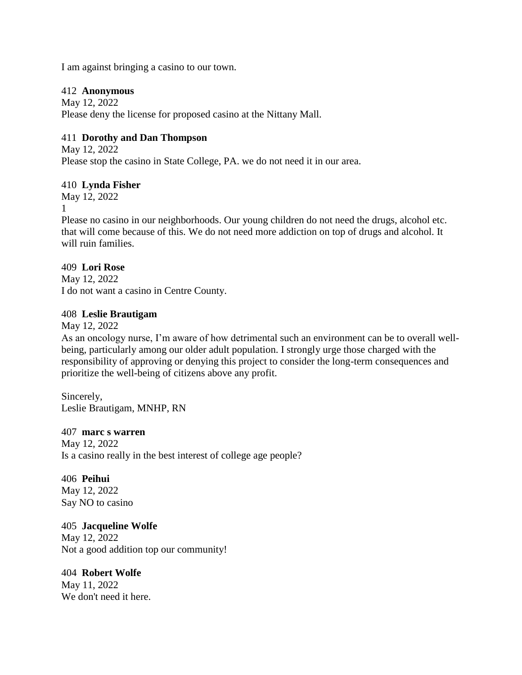I am against bringing a casino to our town.

#### 412 **Anonymous**

May 12, 2022 Please deny the license for proposed casino at the Nittany Mall.

## 411 **Dorothy and Dan Thompson**

May 12, 2022 Please stop the casino in State College, PA. we do not need it in our area.

## 410 **Lynda Fisher**

May 12, 2022

1

Please no casino in our neighborhoods. Our young children do not need the drugs, alcohol etc. that will come because of this. We do not need more addiction on top of drugs and alcohol. It will ruin families.

# 409 **Lori Rose**

May 12, 2022 I do not want a casino in Centre County.

## 408 **Leslie Brautigam**

May 12, 2022

As an oncology nurse, I'm aware of how detrimental such an environment can be to overall wellbeing, particularly among our older adult population. I strongly urge those charged with the responsibility of approving or denying this project to consider the long-term consequences and prioritize the well-being of citizens above any profit.

Sincerely, Leslie Brautigam, MNHP, RN

## 407 **marc s warren**

May 12, 2022 Is a casino really in the best interest of college age people?

406 **Peihui** May 12, 2022 Say NO to casino

# 405 **Jacqueline Wolfe**

May 12, 2022 Not a good addition top our community!

404 **Robert Wolfe** May 11, 2022 We don't need it here.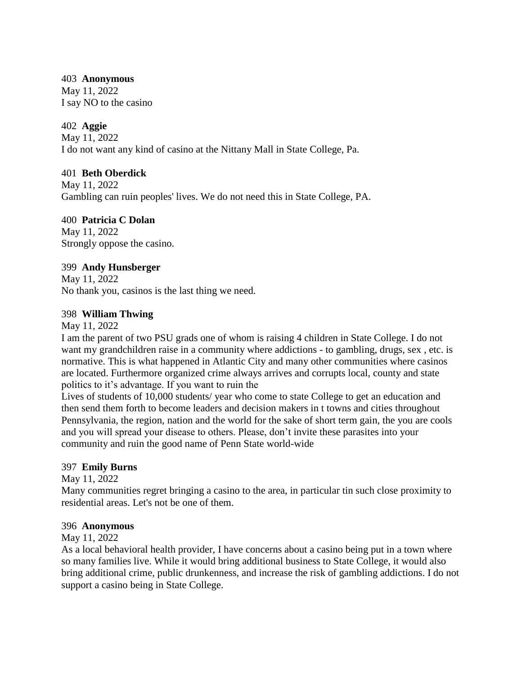#### 403 **Anonymous**

May 11, 2022 I say NO to the casino

## 402 **Aggie**

May 11, 2022 I do not want any kind of casino at the Nittany Mall in State College, Pa.

## 401 **Beth Oberdick**

May 11, 2022 Gambling can ruin peoples' lives. We do not need this in State College, PA.

# 400 **Patricia C Dolan**

May 11, 2022 Strongly oppose the casino.

## 399 **Andy Hunsberger**

May 11, 2022 No thank you, casinos is the last thing we need.

## 398 **William Thwing**

May 11, 2022

I am the parent of two PSU grads one of whom is raising 4 children in State College. I do not want my grandchildren raise in a community where addictions - to gambling, drugs, sex , etc. is normative. This is what happened in Atlantic City and many other communities where casinos are located. Furthermore organized crime always arrives and corrupts local, county and state politics to it's advantage. If you want to ruin the

Lives of students of 10,000 students/ year who come to state College to get an education and then send them forth to become leaders and decision makers in t towns and cities throughout Pennsylvania, the region, nation and the world for the sake of short term gain, the you are cools and you will spread your disease to others. Please, don't invite these parasites into your community and ruin the good name of Penn State world-wide

# 397 **Emily Burns**

May 11, 2022

Many communities regret bringing a casino to the area, in particular tin such close proximity to residential areas. Let's not be one of them.

## 396 **Anonymous**

May 11, 2022

As a local behavioral health provider, I have concerns about a casino being put in a town where so many families live. While it would bring additional business to State College, it would also bring additional crime, public drunkenness, and increase the risk of gambling addictions. I do not support a casino being in State College.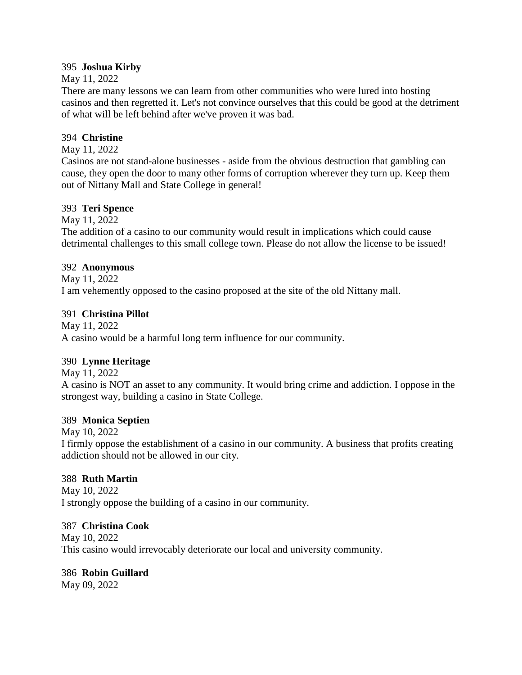## 395 **Joshua Kirby**

## May 11, 2022

There are many lessons we can learn from other communities who were lured into hosting casinos and then regretted it. Let's not convince ourselves that this could be good at the detriment of what will be left behind after we've proven it was bad.

## 394 **Christine**

May 11, 2022

Casinos are not stand-alone businesses - aside from the obvious destruction that gambling can cause, they open the door to many other forms of corruption wherever they turn up. Keep them out of Nittany Mall and State College in general!

## 393 **Teri Spence**

May 11, 2022

The addition of a casino to our community would result in implications which could cause detrimental challenges to this small college town. Please do not allow the license to be issued!

## 392 **Anonymous**

May 11, 2022 I am vehemently opposed to the casino proposed at the site of the old Nittany mall.

## 391 **Christina Pillot**

May 11, 2022 A casino would be a harmful long term influence for our community.

# 390 **Lynne Heritage**

May 11, 2022

A casino is NOT an asset to any community. It would bring crime and addiction. I oppose in the strongest way, building a casino in State College.

## 389 **Monica Septien**

May 10, 2022

I firmly oppose the establishment of a casino in our community. A business that profits creating addiction should not be allowed in our city.

## 388 **Ruth Martin**

May 10, 2022 I strongly oppose the building of a casino in our community.

## 387 **Christina Cook**

May 10, 2022 This casino would irrevocably deteriorate our local and university community.

# 386 **Robin Guillard**

May 09, 2022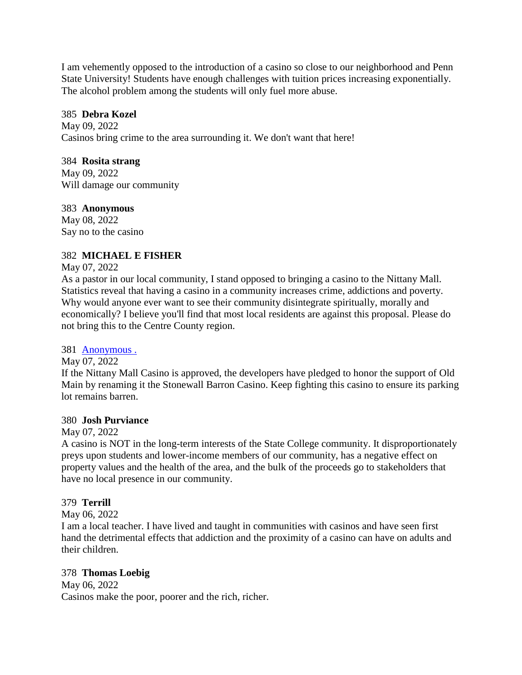I am vehemently opposed to the introduction of a casino so close to our neighborhood and Penn State University! Students have enough challenges with tuition prices increasing exponentially. The alcohol problem among the students will only fuel more abuse.

## 385 **Debra Kozel**

May 09, 2022 Casinos bring crime to the area surrounding it. We don't want that here!

## 384 **Rosita strang**

May 09, 2022 Will damage our community

## 383 **Anonymous**

May 08, 2022 Say no to the casino

# 382 **MICHAEL E FISHER**

## May 07, 2022

As a pastor in our local community, I stand opposed to bringing a casino to the Nittany Mall. Statistics reveal that having a casino in a community increases crime, addictions and poverty. Why would anyone ever want to see their community disintegrate spiritually, morally and economically? I believe you'll find that most local residents are against this proposal. Please do not bring this to the Centre County region.

## 381 [Anonymous .](https://www.ipetitions.com/user/anonymous/19489374)

May 07, 2022

If the Nittany Mall Casino is approved, the developers have pledged to honor the support of Old Main by renaming it the Stonewall Barron Casino. Keep fighting this casino to ensure its parking lot remains barren.

## 380 **Josh Purviance**

## May 07, 2022

A casino is NOT in the long-term interests of the State College community. It disproportionately preys upon students and lower-income members of our community, has a negative effect on property values and the health of the area, and the bulk of the proceeds go to stakeholders that have no local presence in our community.

# 379 **Terrill**

## May 06, 2022

I am a local teacher. I have lived and taught in communities with casinos and have seen first hand the detrimental effects that addiction and the proximity of a casino can have on adults and their children.

# 378 **Thomas Loebig**

May 06, 2022 Casinos make the poor, poorer and the rich, richer.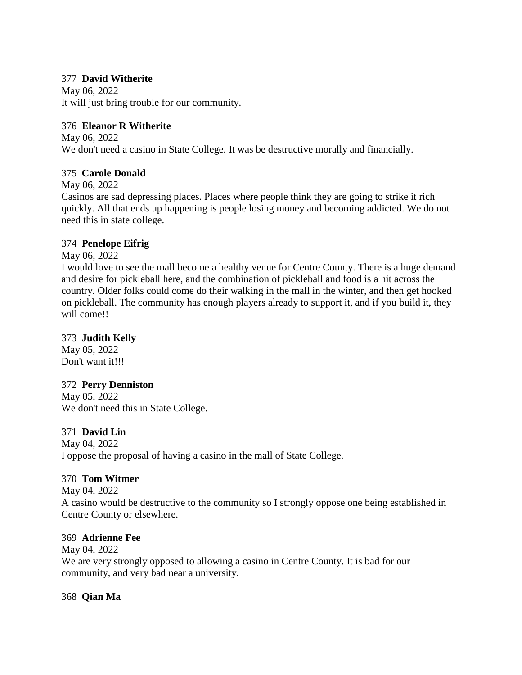## 377 **David Witherite**

May 06, 2022 It will just bring trouble for our community.

## 376 **Eleanor R Witherite**

May 06, 2022 We don't need a casino in State College. It was be destructive morally and financially.

# 375 **Carole Donald**

May 06, 2022

Casinos are sad depressing places. Places where people think they are going to strike it rich quickly. All that ends up happening is people losing money and becoming addicted. We do not need this in state college.

## 374 **Penelope Eifrig**

May 06, 2022

I would love to see the mall become a healthy venue for Centre County. There is a huge demand and desire for pickleball here, and the combination of pickleball and food is a hit across the country. Older folks could come do their walking in the mall in the winter, and then get hooked on pickleball. The community has enough players already to support it, and if you build it, they will come!!

## 373 **Judith Kelly**

May 05, 2022 Don't want it!!!

# 372 **Perry Denniston**

May 05, 2022 We don't need this in State College.

# 371 **David Lin**

May 04, 2022 I oppose the proposal of having a casino in the mall of State College.

# 370 **Tom Witmer**

May 04, 2022 A casino would be destructive to the community so I strongly oppose one being established in Centre County or elsewhere.

## 369 **Adrienne Fee**

May 04, 2022 We are very strongly opposed to allowing a casino in Centre County. It is bad for our community, and very bad near a university.

## 368 **Qian Ma**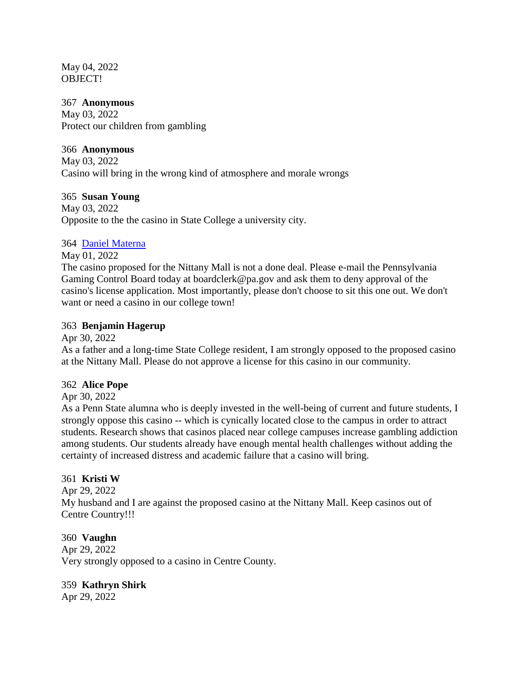May 04, 2022 OBJECT!

#### 367 **Anonymous**

May 03, 2022 Protect our children from gambling

## 366 **Anonymous**

May 03, 2022 Casino will bring in the wrong kind of atmosphere and morale wrongs

## 365 **Susan Young**

May 03, 2022 Opposite to the the casino in State College a university city.

## 364 [Daniel Materna](https://www.ipetitions.com/user/daniel-materna/19484901)

May 01, 2022

The casino proposed for the Nittany Mall is not a done deal. Please e-mail the Pennsylvania Gaming Control Board today at boardclerk@pa.gov and ask them to deny approval of the casino's license application. Most importantly, please don't choose to sit this one out. We don't want or need a casino in our college town!

## 363 **Benjamin Hagerup**

Apr 30, 2022

As a father and a long-time State College resident, I am strongly opposed to the proposed casino at the Nittany Mall. Please do not approve a license for this casino in our community.

## 362 **Alice Pope**

Apr 30, 2022

As a Penn State alumna who is deeply invested in the well-being of current and future students, I strongly oppose this casino -- which is cynically located close to the campus in order to attract students. Research shows that casinos placed near college campuses increase gambling addiction among students. Our students already have enough mental health challenges without adding the certainty of increased distress and academic failure that a casino will bring.

## 361 **Kristi W**

Apr 29, 2022 My husband and I are against the proposed casino at the Nittany Mall. Keep casinos out of Centre Country!!!

360 **Vaughn**  Apr 29, 2022 Very strongly opposed to a casino in Centre County.

359 **Kathryn Shirk** Apr 29, 2022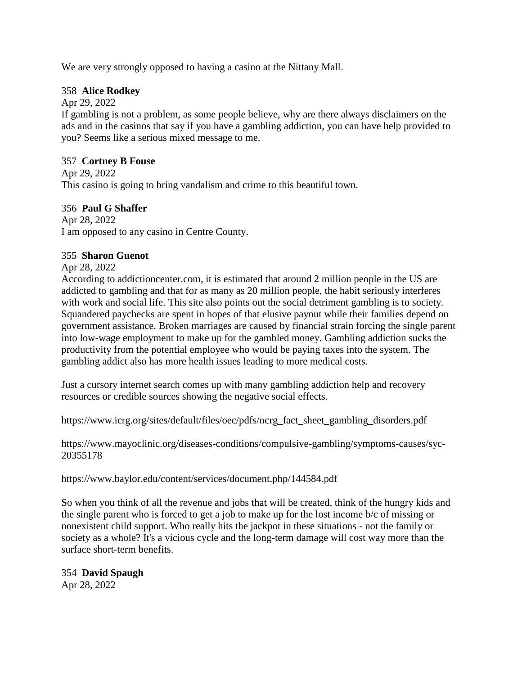We are very strongly opposed to having a casino at the Nittany Mall.

## 358 **Alice Rodkey**

Apr 29, 2022

If gambling is not a problem, as some people believe, why are there always disclaimers on the ads and in the casinos that say if you have a gambling addiction, you can have help provided to you? Seems like a serious mixed message to me.

## 357 **Cortney B Fouse**

Apr 29, 2022 This casino is going to bring vandalism and crime to this beautiful town.

## 356 **Paul G Shaffer**

Apr 28, 2022 I am opposed to any casino in Centre County.

## 355 **Sharon Guenot**

Apr 28, 2022

According to addictioncenter.com, it is estimated that around 2 million people in the US are addicted to gambling and that for as many as 20 million people, the habit seriously interferes with work and social life. This site also points out the social detriment gambling is to society. Squandered paychecks are spent in hopes of that elusive payout while their families depend on government assistance. Broken marriages are caused by financial strain forcing the single parent into low-wage employment to make up for the gambled money. Gambling addiction sucks the productivity from the potential employee who would be paying taxes into the system. The gambling addict also has more health issues leading to more medical costs.

Just a cursory internet search comes up with many gambling addiction help and recovery resources or credible sources showing the negative social effects.

https://www.icrg.org/sites/default/files/oec/pdfs/ncrg\_fact\_sheet\_gambling\_disorders.pdf

https://www.mayoclinic.org/diseases-conditions/compulsive-gambling/symptoms-causes/syc-20355178

https://www.baylor.edu/content/services/document.php/144584.pdf

So when you think of all the revenue and jobs that will be created, think of the hungry kids and the single parent who is forced to get a job to make up for the lost income b/c of missing or nonexistent child support. Who really hits the jackpot in these situations - not the family or society as a whole? It's a vicious cycle and the long-term damage will cost way more than the surface short-term benefits.

354 **David Spaugh** Apr 28, 2022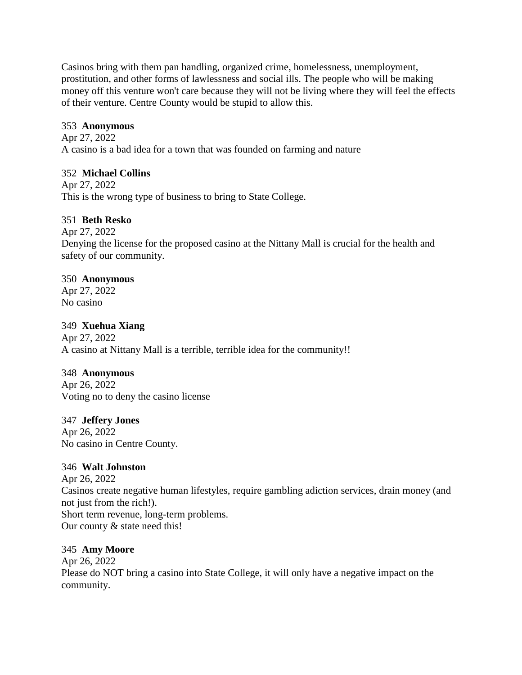Casinos bring with them pan handling, organized crime, homelessness, unemployment, prostitution, and other forms of lawlessness and social ills. The people who will be making money off this venture won't care because they will not be living where they will feel the effects of their venture. Centre County would be stupid to allow this.

# 353 **Anonymous**

Apr 27, 2022 A casino is a bad idea for a town that was founded on farming and nature

# 352 **Michael Collins**

Apr 27, 2022 This is the wrong type of business to bring to State College.

# 351 **Beth Resko**

Apr 27, 2022

Denying the license for the proposed casino at the Nittany Mall is crucial for the health and safety of our community.

# 350 **Anonymous**

Apr 27, 2022 No casino

# 349 **Xuehua Xiang**

Apr 27, 2022 A casino at Nittany Mall is a terrible, terrible idea for the community!!

# 348 **Anonymous**

Apr 26, 2022 Voting no to deny the casino license

# 347 **Jeffery Jones**

Apr 26, 2022 No casino in Centre County.

# 346 **Walt Johnston**

Apr 26, 2022 Casinos create negative human lifestyles, require gambling adiction services, drain money (and not just from the rich!). Short term revenue, long-term problems. Our county & state need this!

# 345 **Amy Moore**

Apr 26, 2022 Please do NOT bring a casino into State College, it will only have a negative impact on the community.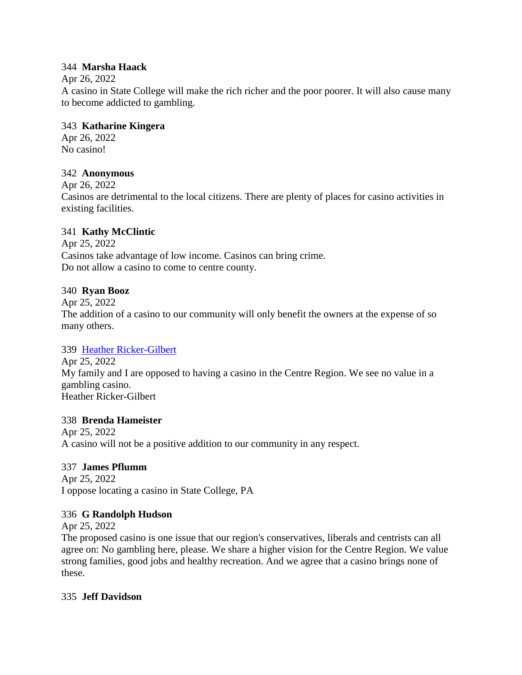## 344 **Marsha Haack**

## Apr 26, 2022

A casino in State College will make the rich richer and the poor poorer. It will also cause many to become addicted to gambling.

## 343 **Katharine Kingera**

Apr 26, 2022 No casino!

## 342 **Anonymous**

Apr 26, 2022

Casinos are detrimental to the local citizens. There are plenty of places for casino activities in existing facilities.

# 341 **Kathy McClintic**

Apr 25, 2022 Casinos take advantage of low income. Casinos can bring crime. Do not allow a casino to come to centre county.

## 340 **Ryan Booz**

Apr 25, 2022

The addition of a casino to our community will only benefit the owners at the expense of so many others.

# 339 [Heather Ricker-Gilbert](https://www.ipetitions.com/user/heather-ricker-gilbert/19484806)

Apr 25, 2022 My family and I are opposed to having a casino in the Centre Region. We see no value in a gambling casino. Heather Ricker-Gilbert

## 338 **Brenda Hameister**

Apr 25, 2022 A casino will not be a positive addition to our community in any respect.

# 337 **James Pflumm**

Apr 25, 2022 I oppose locating a casino in State College, PA

## 336 **G Randolph Hudson**

Apr 25, 2022

The proposed casino is one issue that our region's conservatives, liberals and centrists can all agree on: No gambling here, please. We share a higher vision for the Centre Region. We value strong families, good jobs and healthy recreation. And we agree that a casino brings none of these.

## 335 **Jeff Davidson**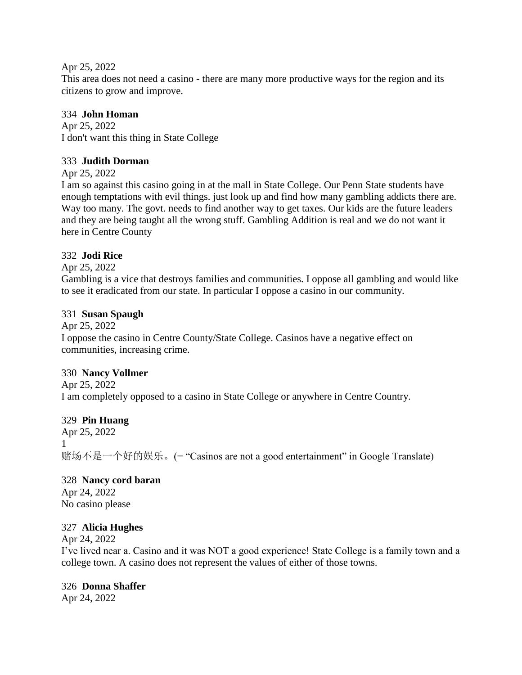Apr 25, 2022

This area does not need a casino - there are many more productive ways for the region and its citizens to grow and improve.

# 334 **John Homan**

Apr 25, 2022 I don't want this thing in State College

# 333 **Judith Dorman**

Apr 25, 2022

I am so against this casino going in at the mall in State College. Our Penn State students have enough temptations with evil things. just look up and find how many gambling addicts there are. Way too many. The govt. needs to find another way to get taxes. Our kids are the future leaders and they are being taught all the wrong stuff. Gambling Addition is real and we do not want it here in Centre County

# 332 **Jodi Rice**

Apr 25, 2022

Gambling is a vice that destroys families and communities. I oppose all gambling and would like to see it eradicated from our state. In particular I oppose a casino in our community.

# 331 **Susan Spaugh**

Apr 25, 2022 I oppose the casino in Centre County/State College. Casinos have a negative effect on communities, increasing crime.

# 330 **Nancy Vollmer**

Apr 25, 2022 I am completely opposed to a casino in State College or anywhere in Centre Country.

329 **Pin Huang** Apr 25, 2022 1 赌场不是一个好的娱乐。(= "Casinos are not a good entertainment" in Google Translate)

# 328 **Nancy cord baran**

Apr 24, 2022 No casino please

# 327 **Alicia Hughes**

Apr 24, 2022

I've lived near a. Casino and it was NOT a good experience! State College is a family town and a college town. A casino does not represent the values of either of those towns.

# 326 **Donna Shaffer**

Apr 24, 2022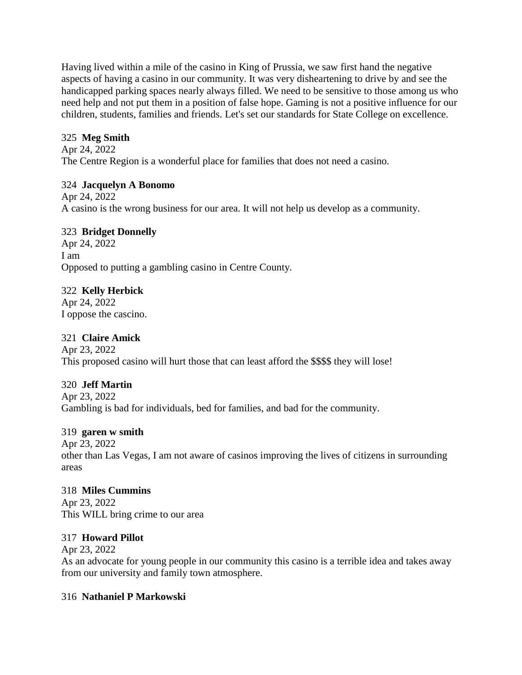Having lived within a mile of the casino in King of Prussia, we saw first hand the negative aspects of having a casino in our community. It was very disheartening to drive by and see the handicapped parking spaces nearly always filled. We need to be sensitive to those among us who need help and not put them in a position of false hope. Gaming is not a positive influence for our children, students, families and friends. Let's set our standards for State College on excellence.

# 325 **Meg Smith**

Apr 24, 2022 The Centre Region is a wonderful place for families that does not need a casino.

# 324 **Jacquelyn A Bonomo**

Apr 24, 2022 A casino is the wrong business for our area. It will not help us develop as a community.

# 323 **Bridget Donnelly**

Apr 24, 2022 I am Opposed to putting a gambling casino in Centre County.

# 322 **Kelly Herbick**

Apr 24, 2022 I oppose the cascino.

# 321 **Claire Amick**

Apr 23, 2022 This proposed casino will hurt those that can least afford the \$\$\$\$ they will lose!

# 320 **Jeff Martin**

Apr 23, 2022 Gambling is bad for individuals, bed for families, and bad for the community.

# 319 **garen w smith**

Apr 23, 2022 other than Las Vegas, I am not aware of casinos improving the lives of citizens in surrounding areas

# 318 **Miles Cummins**

Apr 23, 2022 This WILL bring crime to our area

# 317 **Howard Pillot**

Apr 23, 2022 As an advocate for young people in our community this casino is a terrible idea and takes away from our university and family town atmosphere.

# 316 **Nathaniel P Markowski**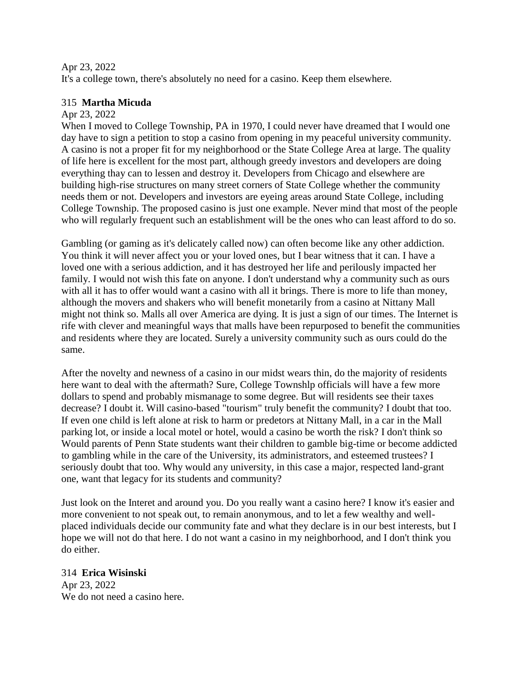## Apr 23, 2022

It's a college town, there's absolutely no need for a casino. Keep them elsewhere.

## 315 **Martha Micuda**

## Apr 23, 2022

When I moved to College Township, PA in 1970, I could never have dreamed that I would one day have to sign a petition to stop a casino from opening in my peaceful university community. A casino is not a proper fit for my neighborhood or the State College Area at large. The quality of life here is excellent for the most part, although greedy investors and developers are doing everything thay can to lessen and destroy it. Developers from Chicago and elsewhere are building high-rise structures on many street corners of State College whether the community needs them or not. Developers and investors are eyeing areas around State College, including College Township. The proposed casino is just one example. Never mind that most of the people who will regularly frequent such an establishment will be the ones who can least afford to do so.

Gambling (or gaming as it's delicately called now) can often become like any other addiction. You think it will never affect you or your loved ones, but I bear witness that it can. I have a loved one with a serious addiction, and it has destroyed her life and perilously impacted her family. I would not wish this fate on anyone. I don't understand why a community such as ours with all it has to offer would want a casino with all it brings. There is more to life than money, although the movers and shakers who will benefit monetarily from a casino at Nittany Mall might not think so. Malls all over America are dying. It is just a sign of our times. The Internet is rife with clever and meaningful ways that malls have been repurposed to benefit the communities and residents where they are located. Surely a university community such as ours could do the same.

After the novelty and newness of a casino in our midst wears thin, do the majority of residents here want to deal with the aftermath? Sure, College Townshlp officials will have a few more dollars to spend and probably mismanage to some degree. But will residents see their taxes decrease? I doubt it. Will casino-based "tourism" truly benefit the community? I doubt that too. If even one child is left alone at risk to harm or predetors at Nittany Mall, in a car in the Mall parking lot, or inside a local motel or hotel, would a casino be worth the risk? I don't think so Would parents of Penn State students want their children to gamble big-time or become addicted to gambling while in the care of the University, its administrators, and esteemed trustees? I seriously doubt that too. Why would any university, in this case a major, respected land-grant one, want that legacy for its students and community?

Just look on the Interet and around you. Do you really want a casino here? I know it's easier and more convenient to not speak out, to remain anonymous, and to let a few wealthy and wellplaced individuals decide our community fate and what they declare is in our best interests, but I hope we will not do that here. I do not want a casino in my neighborhood, and I don't think you do either.

314 **Erica Wisinski** Apr 23, 2022 We do not need a casino here.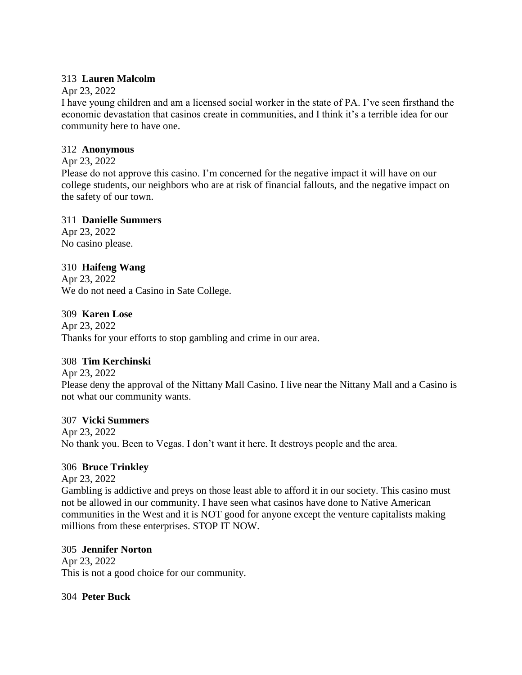## 313 **Lauren Malcolm**

## Apr 23, 2022

I have young children and am a licensed social worker in the state of PA. I've seen firsthand the economic devastation that casinos create in communities, and I think it's a terrible idea for our community here to have one.

## 312 **Anonymous**

# Apr 23, 2022

Please do not approve this casino. I'm concerned for the negative impact it will have on our college students, our neighbors who are at risk of financial fallouts, and the negative impact on the safety of our town.

## 311 **Danielle Summers**

Apr 23, 2022 No casino please.

# 310 **Haifeng Wang**

Apr 23, 2022 We do not need a Casino in Sate College.

# 309 **Karen Lose**

Apr 23, 2022 Thanks for your efforts to stop gambling and crime in our area.

# 308 **Tim Kerchinski**

Apr 23, 2022 Please deny the approval of the Nittany Mall Casino. I live near the Nittany Mall and a Casino is not what our community wants.

# 307 **Vicki Summers**

Apr 23, 2022 No thank you. Been to Vegas. I don't want it here. It destroys people and the area.

# 306 **Bruce Trinkley**

Apr 23, 2022

Gambling is addictive and preys on those least able to afford it in our society. This casino must not be allowed in our community. I have seen what casinos have done to Native American communities in the West and it is NOT good for anyone except the venture capitalists making millions from these enterprises. STOP IT NOW.

# 305 **Jennifer Norton**

Apr 23, 2022 This is not a good choice for our community.

304 **Peter Buck**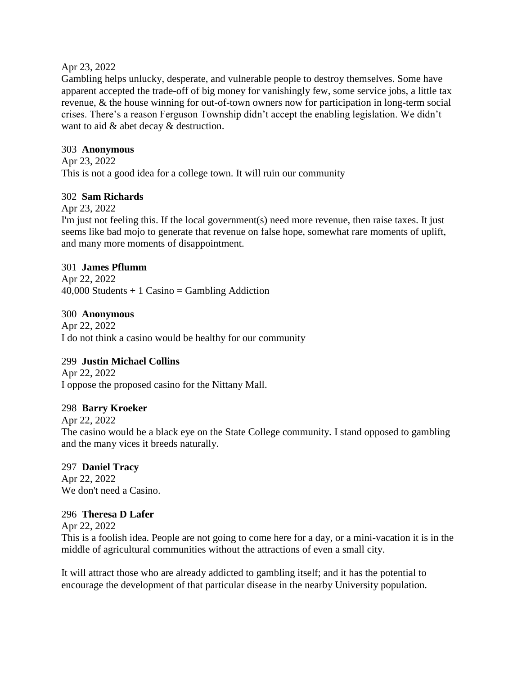#### Apr 23, 2022

Gambling helps unlucky, desperate, and vulnerable people to destroy themselves. Some have apparent accepted the trade-off of big money for vanishingly few, some service jobs, a little tax revenue, & the house winning for out-of-town owners now for participation in long-term social crises. There's a reason Ferguson Township didn't accept the enabling legislation. We didn't want to aid  $\&$  abet decay  $\&$  destruction.

## 303 **Anonymous**

Apr 23, 2022 This is not a good idea for a college town. It will ruin our community

## 302 **Sam Richards**

Apr 23, 2022

I'm just not feeling this. If the local government(s) need more revenue, then raise taxes. It just seems like bad mojo to generate that revenue on false hope, somewhat rare moments of uplift, and many more moments of disappointment.

## 301 **James Pflumm**

Apr 22, 2022  $40,000$  Students + 1 Casino = Gambling Addiction

## 300 **Anonymous**

Apr 22, 2022 I do not think a casino would be healthy for our community

## 299 **Justin Michael Collins**

Apr 22, 2022 I oppose the proposed casino for the Nittany Mall.

## 298 **Barry Kroeker**

Apr 22, 2022

The casino would be a black eye on the State College community. I stand opposed to gambling and the many vices it breeds naturally.

## 297 **Daniel Tracy**

Apr 22, 2022 We don't need a Casino.

## 296 **Theresa D Lafer**

Apr 22, 2022

This is a foolish idea. People are not going to come here for a day, or a mini-vacation it is in the middle of agricultural communities without the attractions of even a small city.

It will attract those who are already addicted to gambling itself; and it has the potential to encourage the development of that particular disease in the nearby University population.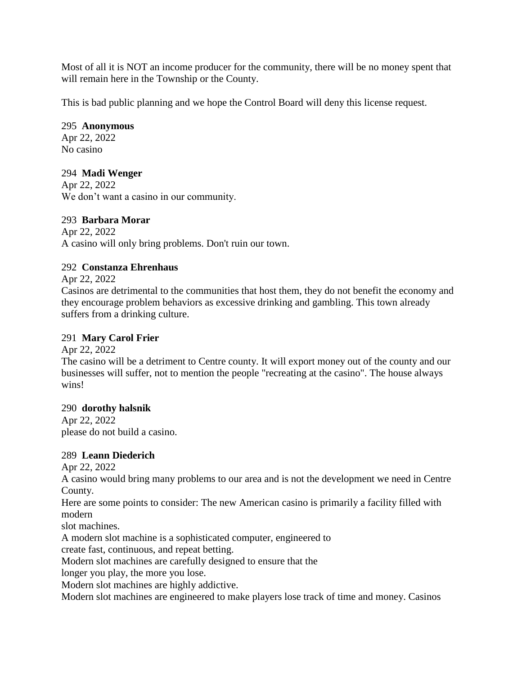Most of all it is NOT an income producer for the community, there will be no money spent that will remain here in the Township or the County.

This is bad public planning and we hope the Control Board will deny this license request.

# 295 **Anonymous**

Apr 22, 2022 No casino

# 294 **Madi Wenger**

Apr 22, 2022 We don't want a casino in our community.

# 293 **Barbara Morar**

Apr 22, 2022 A casino will only bring problems. Don't ruin our town.

# 292 **Constanza Ehrenhaus**

Apr 22, 2022

Casinos are detrimental to the communities that host them, they do not benefit the economy and they encourage problem behaviors as excessive drinking and gambling. This town already suffers from a drinking culture.

# 291 **Mary Carol Frier**

Apr 22, 2022 The casino will be a detriment to Centre county. It will export money out of the county and our businesses will suffer, not to mention the people "recreating at the casino". The house always wins!

# 290 **dorothy halsnik**

Apr 22, 2022 please do not build a casino.

# 289 **Leann Diederich**

Apr 22, 2022

A casino would bring many problems to our area and is not the development we need in Centre County.

Here are some points to consider: The new American casino is primarily a facility filled with modern

slot machines.

A modern slot machine is a sophisticated computer, engineered to

create fast, continuous, and repeat betting.

Modern slot machines are carefully designed to ensure that the

longer you play, the more you lose.

Modern slot machines are highly addictive.

Modern slot machines are engineered to make players lose track of time and money. Casinos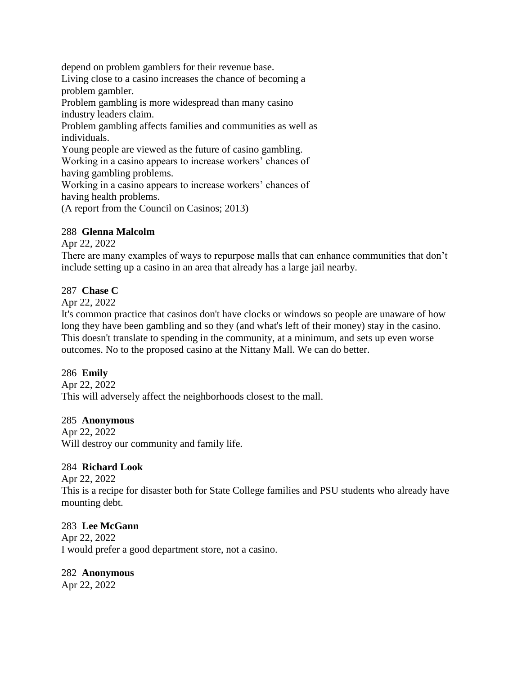depend on problem gamblers for their revenue base.

Living close to a casino increases the chance of becoming a problem gambler.

Problem gambling is more widespread than many casino industry leaders claim.

Problem gambling affects families and communities as well as individuals.

Young people are viewed as the future of casino gambling.

Working in a casino appears to increase workers' chances of having gambling problems.

Working in a casino appears to increase workers' chances of having health problems.

(A report from the Council on Casinos; 2013)

## 288 **Glenna Malcolm**

Apr 22, 2022

There are many examples of ways to repurpose malls that can enhance communities that don't include setting up a casino in an area that already has a large jail nearby.

## 287 **Chase C**

Apr 22, 2022

It's common practice that casinos don't have clocks or windows so people are unaware of how long they have been gambling and so they (and what's left of their money) stay in the casino. This doesn't translate to spending in the community, at a minimum, and sets up even worse outcomes. No to the proposed casino at the Nittany Mall. We can do better.

# 286 **Emily**

Apr 22, 2022 This will adversely affect the neighborhoods closest to the mall.

# 285 **Anonymous**

Apr 22, 2022 Will destroy our community and family life.

# 284 **Richard Look**

Apr 22, 2022 This is a recipe for disaster both for State College families and PSU students who already have mounting debt.

# 283 **Lee McGann**

Apr 22, 2022 I would prefer a good department store, not a casino.

## 282 **Anonymous**

Apr 22, 2022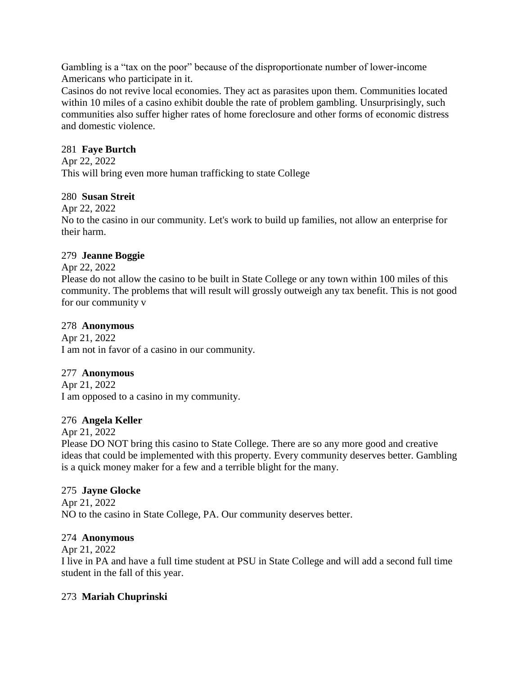Gambling is a "tax on the poor" because of the disproportionate number of lower-income Americans who participate in it.

Casinos do not revive local economies. They act as parasites upon them. Communities located within 10 miles of a casino exhibit double the rate of problem gambling. Unsurprisingly, such communities also suffer higher rates of home foreclosure and other forms of economic distress and domestic violence.

## 281 **Faye Burtch**

Apr 22, 2022

This will bring even more human trafficking to state College

## 280 **Susan Streit**

Apr 22, 2022

No to the casino in our community. Let's work to build up families, not allow an enterprise for their harm.

## 279 **Jeanne Boggie**

Apr 22, 2022

Please do not allow the casino to be built in State College or any town within 100 miles of this community. The problems that will result will grossly outweigh any tax benefit. This is not good for our community v

## 278 **Anonymous**

Apr 21, 2022 I am not in favor of a casino in our community.

## 277 **Anonymous**

Apr 21, 2022 I am opposed to a casino in my community.

## 276 **Angela Keller**

Apr 21, 2022

Please DO NOT bring this casino to State College. There are so any more good and creative ideas that could be implemented with this property. Every community deserves better. Gambling is a quick money maker for a few and a terrible blight for the many.

## 275 **Jayne Glocke**

Apr 21, 2022 NO to the casino in State College, PA. Our community deserves better.

## 274 **Anonymous**

Apr 21, 2022

I live in PA and have a full time student at PSU in State College and will add a second full time student in the fall of this year.

# 273 **Mariah Chuprinski**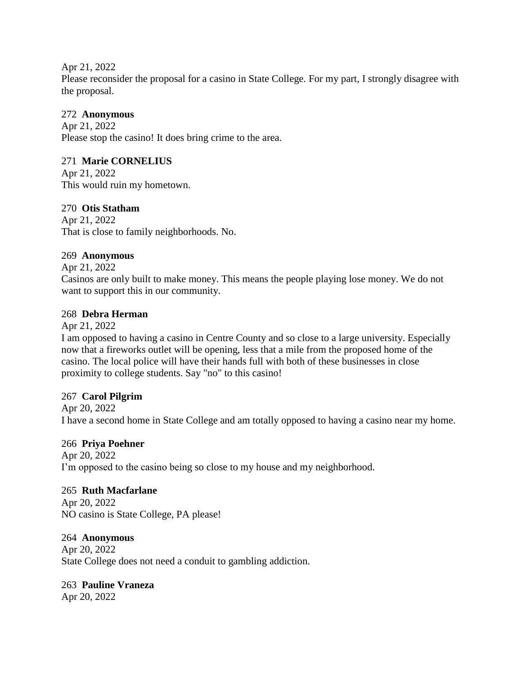Apr 21, 2022 Please reconsider the proposal for a casino in State College. For my part, I strongly disagree with the proposal.

## 272 **Anonymous**

Apr 21, 2022 Please stop the casino! It does bring crime to the area.

## 271 **Marie CORNELIUS**

Apr 21, 2022 This would ruin my hometown.

## 270 **Otis Statham**

Apr 21, 2022 That is close to family neighborhoods. No.

## 269 **Anonymous**

Apr 21, 2022

Casinos are only built to make money. This means the people playing lose money. We do not want to support this in our community.

## 268 **Debra Herman**

Apr 21, 2022

I am opposed to having a casino in Centre County and so close to a large university. Especially now that a fireworks outlet will be opening, less that a mile from the proposed home of the casino. The local police will have their hands full with both of these businesses in close proximity to college students. Say "no" to this casino!

## 267 **Carol Pilgrim**

Apr 20, 2022 I have a second home in State College and am totally opposed to having a casino near my home.

## 266 **Priya Poehner**

Apr 20, 2022 I'm opposed to the casino being so close to my house and my neighborhood.

#### 265 **Ruth Macfarlane**

Apr 20, 2022 NO casino is State College, PA please!

## 264 **Anonymous**

Apr 20, 2022 State College does not need a conduit to gambling addiction.

## 263 **Pauline Vraneza**

Apr 20, 2022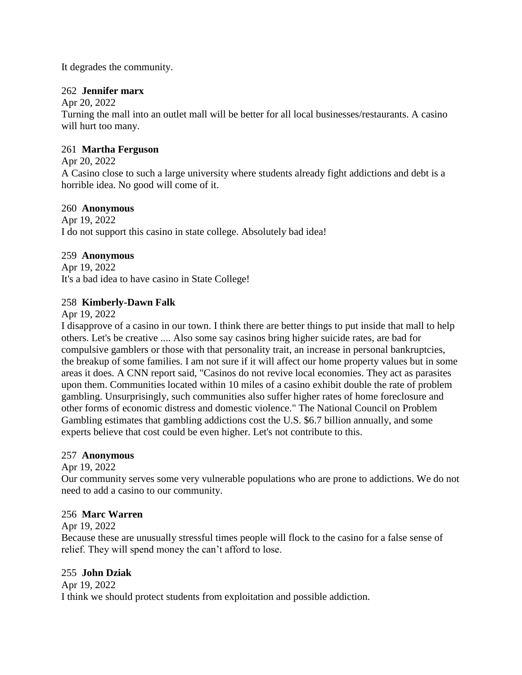It degrades the community.

## 262 **Jennifer marx**

Apr 20, 2022

Turning the mall into an outlet mall will be better for all local businesses/restaurants. A casino will hurt too many.

## 261 **Martha Ferguson**

Apr 20, 2022

A Casino close to such a large university where students already fight addictions and debt is a horrible idea. No good will come of it.

## 260 **Anonymous**

Apr 19, 2022 I do not support this casino in state college. Absolutely bad idea!

# 259 **Anonymous**

Apr 19, 2022 It's a bad idea to have casino in State College!

## 258 **Kimberly-Dawn Falk**

Apr 19, 2022

I disapprove of a casino in our town. I think there are better things to put inside that mall to help others. Let's be creative .... Also some say casinos bring higher suicide rates, are bad for compulsive gamblers or those with that personality trait, an increase in personal bankruptcies, the breakup of some families. I am not sure if it will affect our home property values but in some areas it does. A CNN report said, "Casinos do not revive local economies. They act as parasites upon them. Communities located within 10 miles of a casino exhibit double the rate of problem gambling. Unsurprisingly, such communities also suffer higher rates of home foreclosure and other forms of economic distress and domestic violence." The National Council on Problem Gambling estimates that gambling addictions cost the U.S. \$6.7 billion annually, and some experts believe that cost could be even higher. Let's not contribute to this.

## 257 **Anonymous**

Apr 19, 2022

Our community serves some very vulnerable populations who are prone to addictions. We do not need to add a casino to our community.

## 256 **Marc Warren**

## Apr 19, 2022

Because these are unusually stressful times people will flock to the casino for a false sense of relief. They will spend money the can't afford to lose.

## 255 **John Dziak**

Apr 19, 2022 I think we should protect students from exploitation and possible addiction.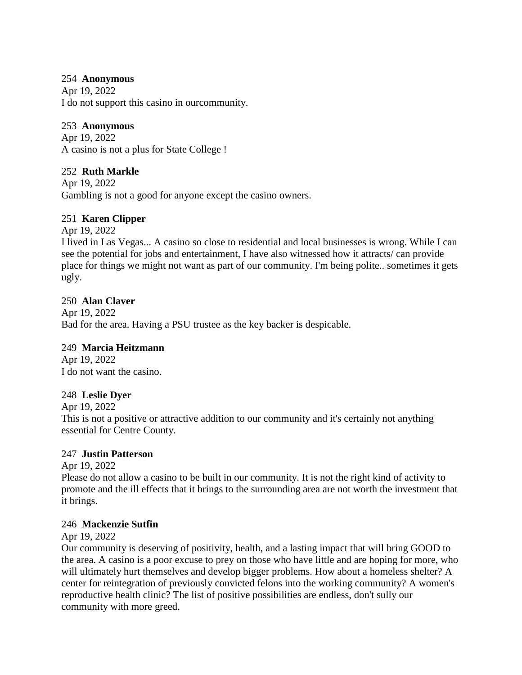## 254 **Anonymous**

Apr 19, 2022 I do not support this casino in ourcommunity.

# 253 **Anonymous**

Apr 19, 2022 A casino is not a plus for State College !

# 252 **Ruth Markle**

Apr 19, 2022 Gambling is not a good for anyone except the casino owners.

# 251 **Karen Clipper**

Apr 19, 2022

I lived in Las Vegas... A casino so close to residential and local businesses is wrong. While I can see the potential for jobs and entertainment, I have also witnessed how it attracts/ can provide place for things we might not want as part of our community. I'm being polite.. sometimes it gets ugly.

# 250 **Alan Claver**

Apr 19, 2022 Bad for the area. Having a PSU trustee as the key backer is despicable.

# 249 **Marcia Heitzmann**

Apr 19, 2022 I do not want the casino.

# 248 **Leslie Dyer**

Apr 19, 2022

This is not a positive or attractive addition to our community and it's certainly not anything essential for Centre County.

# 247 **Justin Patterson**

Apr 19, 2022

Please do not allow a casino to be built in our community. It is not the right kind of activity to promote and the ill effects that it brings to the surrounding area are not worth the investment that it brings.

# 246 **Mackenzie Sutfin**

Apr 19, 2022

Our community is deserving of positivity, health, and a lasting impact that will bring GOOD to the area. A casino is a poor excuse to prey on those who have little and are hoping for more, who will ultimately hurt themselves and develop bigger problems. How about a homeless shelter? A center for reintegration of previously convicted felons into the working community? A women's reproductive health clinic? The list of positive possibilities are endless, don't sully our community with more greed.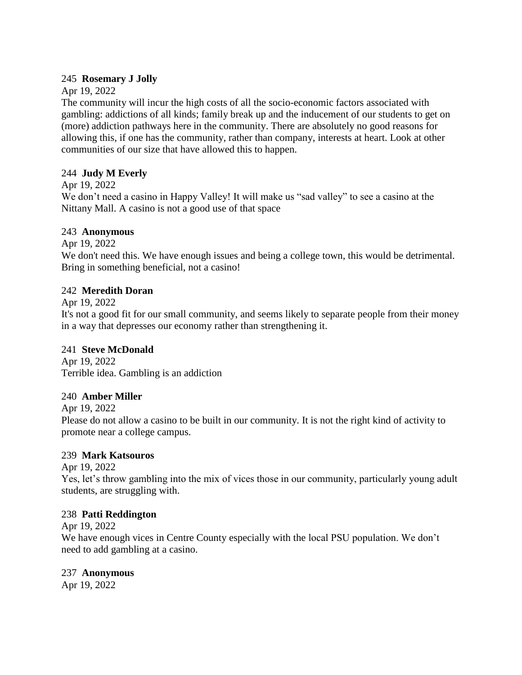## 245 **Rosemary J Jolly**

## Apr 19, 2022

The community will incur the high costs of all the socio-economic factors associated with gambling: addictions of all kinds; family break up and the inducement of our students to get on (more) addiction pathways here in the community. There are absolutely no good reasons for allowing this, if one has the community, rather than company, interests at heart. Look at other communities of our size that have allowed this to happen.

# 244 **Judy M Everly**

Apr 19, 2022

We don't need a casino in Happy Valley! It will make us "sad valley" to see a casino at the Nittany Mall. A casino is not a good use of that space

## 243 **Anonymous**

Apr 19, 2022

We don't need this. We have enough issues and being a college town, this would be detrimental. Bring in something beneficial, not a casino!

# 242 **Meredith Doran**

Apr 19, 2022

It's not a good fit for our small community, and seems likely to separate people from their money in a way that depresses our economy rather than strengthening it.

# 241 **Steve McDonald**

Apr 19, 2022 Terrible idea. Gambling is an addiction

# 240 **Amber Miller**

Apr 19, 2022

Please do not allow a casino to be built in our community. It is not the right kind of activity to promote near a college campus.

# 239 **Mark Katsouros**

Apr 19, 2022

Yes, let's throw gambling into the mix of vices those in our community, particularly young adult students, are struggling with.

# 238 **Patti Reddington**

Apr 19, 2022

We have enough vices in Centre County especially with the local PSU population. We don't need to add gambling at a casino.

# 237 **Anonymous**

Apr 19, 2022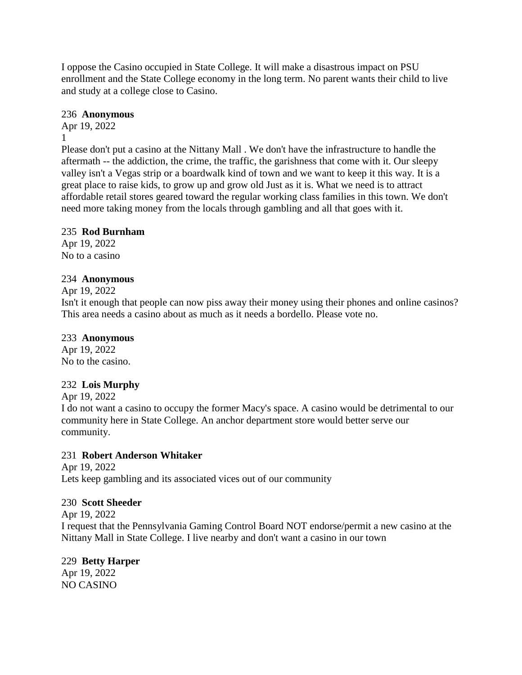I oppose the Casino occupied in State College. It will make a disastrous impact on PSU enrollment and the State College economy in the long term. No parent wants their child to live and study at a college close to Casino.

## 236 **Anonymous**

Apr 19, 2022 1

Please don't put a casino at the Nittany Mall . We don't have the infrastructure to handle the aftermath -- the addiction, the crime, the traffic, the garishness that come with it. Our sleepy valley isn't a Vegas strip or a boardwalk kind of town and we want to keep it this way. It is a great place to raise kids, to grow up and grow old Just as it is. What we need is to attract affordable retail stores geared toward the regular working class families in this town. We don't need more taking money from the locals through gambling and all that goes with it.

# 235 **Rod Burnham**

Apr 19, 2022 No to a casino

## 234 **Anonymous**

Apr 19, 2022

Isn't it enough that people can now piss away their money using their phones and online casinos? This area needs a casino about as much as it needs a bordello. Please vote no.

## 233 **Anonymous**

Apr 19, 2022 No to the casino.

# 232 **Lois Murphy**

Apr 19, 2022

I do not want a casino to occupy the former Macy's space. A casino would be detrimental to our community here in State College. An anchor department store would better serve our community.

# 231 **Robert Anderson Whitaker**

Apr 19, 2022 Lets keep gambling and its associated vices out of our community

# 230 **Scott Sheeder**

Apr 19, 2022 I request that the Pennsylvania Gaming Control Board NOT endorse/permit a new casino at the Nittany Mall in State College. I live nearby and don't want a casino in our town

# 229 **Betty Harper**

Apr 19, 2022 NO CASINO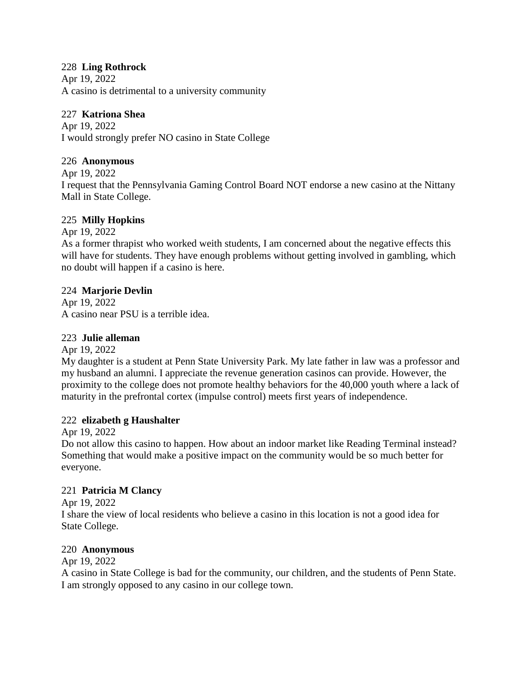## 228 **Ling Rothrock**

Apr 19, 2022 A casino is detrimental to a university community

# 227 **Katriona Shea**

Apr 19, 2022 I would strongly prefer NO casino in State College

## 226 **Anonymous**

Apr 19, 2022

I request that the Pennsylvania Gaming Control Board NOT endorse a new casino at the Nittany Mall in State College.

# 225 **Milly Hopkins**

Apr 19, 2022

As a former thrapist who worked weith students, I am concerned about the negative effects this will have for students. They have enough problems without getting involved in gambling, which no doubt will happen if a casino is here.

## 224 **Marjorie Devlin**

Apr 19, 2022 A casino near PSU is a terrible idea.

## 223 **Julie alleman**

Apr 19, 2022

My daughter is a student at Penn State University Park. My late father in law was a professor and my husband an alumni. I appreciate the revenue generation casinos can provide. However, the proximity to the college does not promote healthy behaviors for the 40,000 youth where a lack of maturity in the prefrontal cortex (impulse control) meets first years of independence.

## 222 **elizabeth g Haushalter**

Apr 19, 2022

Do not allow this casino to happen. How about an indoor market like Reading Terminal instead? Something that would make a positive impact on the community would be so much better for everyone.

## 221 **Patricia M Clancy**

Apr 19, 2022

I share the view of local residents who believe a casino in this location is not a good idea for State College.

## 220 **Anonymous**

Apr 19, 2022

A casino in State College is bad for the community, our children, and the students of Penn State. I am strongly opposed to any casino in our college town.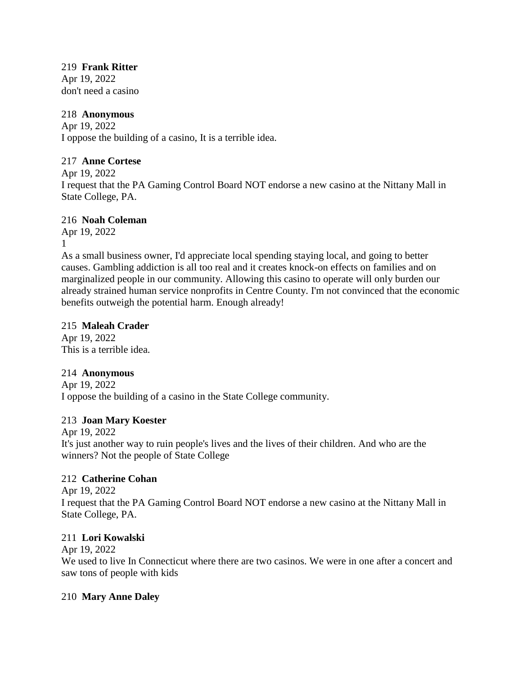# 219 **Frank Ritter**

Apr 19, 2022 don't need a casino

## 218 **Anonymous**

Apr 19, 2022 I oppose the building of a casino, It is a terrible idea.

# 217 **Anne Cortese**

Apr 19, 2022

I request that the PA Gaming Control Board NOT endorse a new casino at the Nittany Mall in State College, PA.

# 216 **Noah Coleman**

Apr 19, 2022 1

As a small business owner, I'd appreciate local spending staying local, and going to better causes. Gambling addiction is all too real and it creates knock-on effects on families and on marginalized people in our community. Allowing this casino to operate will only burden our already strained human service nonprofits in Centre County. I'm not convinced that the economic benefits outweigh the potential harm. Enough already!

# 215 **Maleah Crader**

Apr 19, 2022 This is a terrible idea.

# 214 **Anonymous**

Apr 19, 2022 I oppose the building of a casino in the State College community.

# 213 **Joan Mary Koester**

Apr 19, 2022

It's just another way to ruin people's lives and the lives of their children. And who are the winners? Not the people of State College

# 212 **Catherine Cohan**

Apr 19, 2022 I request that the PA Gaming Control Board NOT endorse a new casino at the Nittany Mall in State College, PA.

# 211 **Lori Kowalski**

Apr 19, 2022 We used to live In Connecticut where there are two casinos. We were in one after a concert and saw tons of people with kids

# 210 **Mary Anne Daley**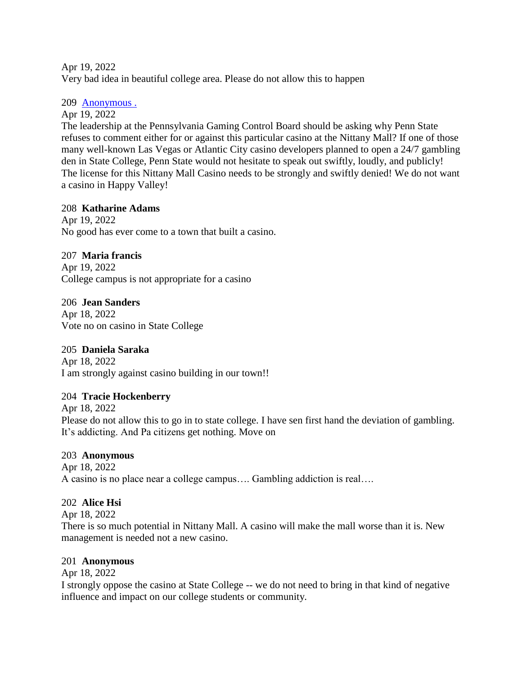Apr 19, 2022 Very bad idea in beautiful college area. Please do not allow this to happen

## 209 [Anonymous .](https://www.ipetitions.com/user/anonymous/19489374)

Apr 19, 2022

The leadership at the Pennsylvania Gaming Control Board should be asking why Penn State refuses to comment either for or against this particular casino at the Nittany Mall? If one of those many well-known Las Vegas or Atlantic City casino developers planned to open a 24/7 gambling den in State College, Penn State would not hesitate to speak out swiftly, loudly, and publicly! The license for this Nittany Mall Casino needs to be strongly and swiftly denied! We do not want a casino in Happy Valley!

# 208 **Katharine Adams**

Apr 19, 2022 No good has ever come to a town that built a casino.

# 207 **Maria francis**

Apr 19, 2022 College campus is not appropriate for a casino

206 **Jean Sanders** Apr 18, 2022 Vote no on casino in State College

# 205 **Daniela Saraka**

Apr 18, 2022 I am strongly against casino building in our town!!

# 204 **Tracie Hockenberry**

Apr 18, 2022 Please do not allow this to go in to state college. I have sen first hand the deviation of gambling. It's addicting. And Pa citizens get nothing. Move on

# 203 **Anonymous**

Apr 18, 2022 A casino is no place near a college campus…. Gambling addiction is real….

# 202 **Alice Hsi**

Apr 18, 2022

There is so much potential in Nittany Mall. A casino will make the mall worse than it is. New management is needed not a new casino.

## 201 **Anonymous**

Apr 18, 2022

I strongly oppose the casino at State College -- we do not need to bring in that kind of negative influence and impact on our college students or community.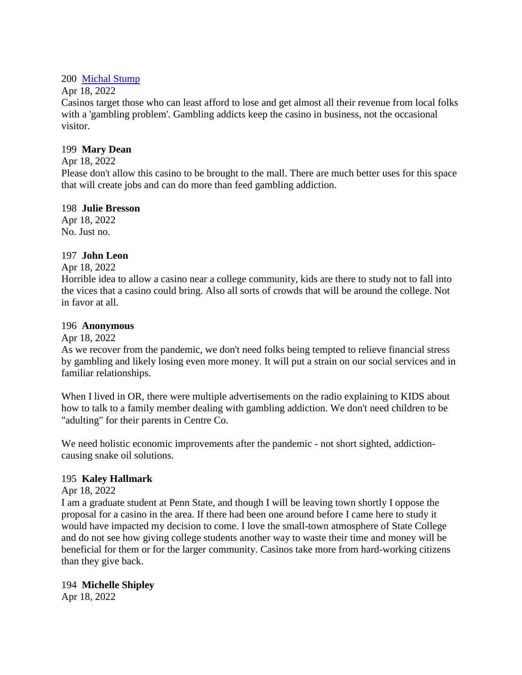## 200 [Michal Stump](https://www.ipetitions.com/user/michal-stump/19490815)

## Apr 18, 2022

Casinos target those who can least afford to lose and get almost all their revenue from local folks with a 'gambling problem'. Gambling addicts keep the casino in business, not the occasional visitor.

## 199 **Mary Dean**

## Apr 18, 2022

Please don't allow this casino to be brought to the mall. There are much better uses for this space that will create jobs and can do more than feed gambling addiction.

## 198 **Julie Bresson**

Apr 18, 2022 No. Just no.

## 197 **John Leon**

## Apr 18, 2022

Horrible idea to allow a casino near a college community, kids are there to study not to fall into the vices that a casino could bring. Also all sorts of crowds that will be around the college. Not in favor at all.

## 196 **Anonymous**

## Apr 18, 2022

As we recover from the pandemic, we don't need folks being tempted to relieve financial stress by gambling and likely losing even more money. It will put a strain on our social services and in familiar relationships.

When I lived in OR, there were multiple advertisements on the radio explaining to KIDS about how to talk to a family member dealing with gambling addiction. We don't need children to be "adulting" for their parents in Centre Co.

We need holistic economic improvements after the pandemic - not short sighted, addictioncausing snake oil solutions.

## 195 **Kaley Hallmark**

## Apr 18, 2022

I am a graduate student at Penn State, and though I will be leaving town shortly I oppose the proposal for a casino in the area. If there had been one around before I came here to study it would have impacted my decision to come. I love the small-town atmosphere of State College and do not see how giving college students another way to waste their time and money will be beneficial for them or for the larger community. Casinos take more from hard-working citizens than they give back.

## 194 **Michelle Shipley**

Apr 18, 2022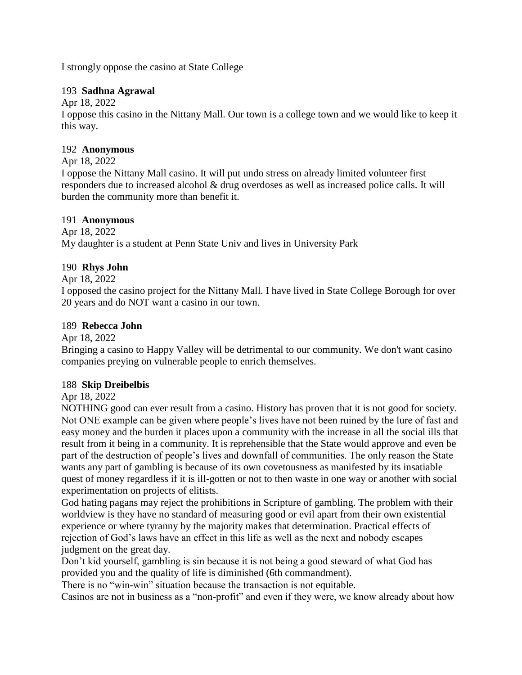I strongly oppose the casino at State College

## 193 **Sadhna Agrawal**

Apr 18, 2022

I oppose this casino in the Nittany Mall. Our town is a college town and we would like to keep it this way.

## 192 **Anonymous**

## Apr 18, 2022

I oppose the Nittany Mall casino. It will put undo stress on already limited volunteer first responders due to increased alcohol & drug overdoses as well as increased police calls. It will burden the community more than benefit it.

## 191 **Anonymous**

Apr 18, 2022 My daughter is a student at Penn State Univ and lives in University Park

# 190 **Rhys John**

Apr 18, 2022

I opposed the casino project for the Nittany Mall. I have lived in State College Borough for over 20 years and do NOT want a casino in our town.

## 189 **Rebecca John**

Apr 18, 2022

Bringing a casino to Happy Valley will be detrimental to our community. We don't want casino companies preying on vulnerable people to enrich themselves.

# 188 **Skip Dreibelbis**

Apr 18, 2022

NOTHING good can ever result from a casino. History has proven that it is not good for society. Not ONE example can be given where people's lives have not been ruined by the lure of fast and easy money and the burden it places upon a community with the increase in all the social ills that result from it being in a community. It is reprehensible that the State would approve and even be part of the destruction of people's lives and downfall of communities. The only reason the State wants any part of gambling is because of its own covetousness as manifested by its insatiable quest of money regardless if it is ill-gotten or not to then waste in one way or another with social experimentation on projects of elitists.

God hating pagans may reject the prohibitions in Scripture of gambling. The problem with their worldview is they have no standard of measuring good or evil apart from their own existential experience or where tyranny by the majority makes that determination. Practical effects of rejection of God's laws have an effect in this life as well as the next and nobody escapes judgment on the great day.

Don't kid yourself, gambling is sin because it is not being a good steward of what God has provided you and the quality of life is diminished (6th commandment).

There is no "win-win" situation because the transaction is not equitable.

Casinos are not in business as a "non-profit" and even if they were, we know already about how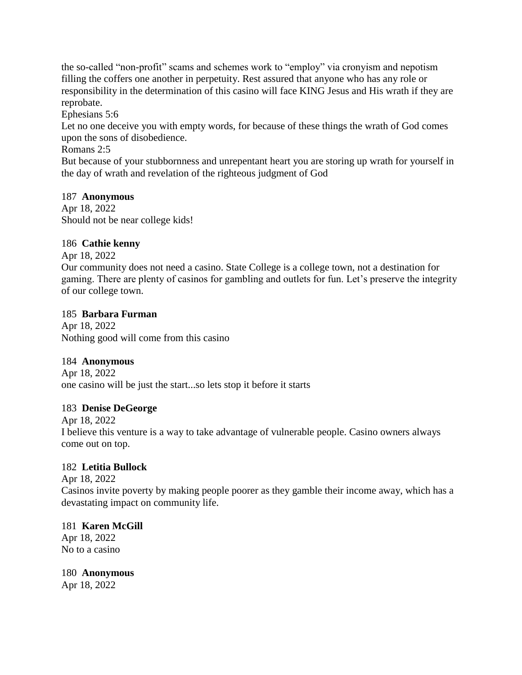the so-called "non-profit" scams and schemes work to "employ" via cronyism and nepotism filling the coffers one another in perpetuity. Rest assured that anyone who has any role or responsibility in the determination of this casino will face KING Jesus and His wrath if they are reprobate.

Ephesians 5:6

Let no one deceive you with empty words, for because of these things the wrath of God comes upon the sons of disobedience.

Romans 2:5

But because of your stubbornness and unrepentant heart you are storing up wrath for yourself in the day of wrath and revelation of the righteous judgment of God

## 187 **Anonymous**

Apr 18, 2022 Should not be near college kids!

## 186 **Cathie kenny**

Apr 18, 2022

Our community does not need a casino. State College is a college town, not a destination for gaming. There are plenty of casinos for gambling and outlets for fun. Let's preserve the integrity of our college town.

## 185 **Barbara Furman**

Apr 18, 2022 Nothing good will come from this casino

# 184 **Anonymous**

Apr 18, 2022 one casino will be just the start...so lets stop it before it starts

# 183 **Denise DeGeorge**

Apr 18, 2022 I believe this venture is a way to take advantage of vulnerable people. Casino owners always come out on top.

# 182 **Letitia Bullock**

Apr 18, 2022 Casinos invite poverty by making people poorer as they gamble their income away, which has a devastating impact on community life.

# 181 **Karen McGill** Apr 18, 2022 No to a casino

180 **Anonymous** Apr 18, 2022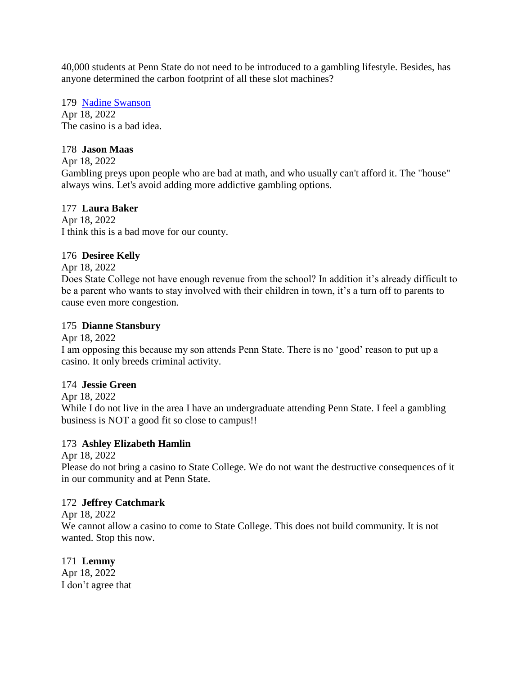40,000 students at Penn State do not need to be introduced to a gambling lifestyle. Besides, has anyone determined the carbon footprint of all these slot machines?

179 [Nadine Swanson](https://www.ipetitions.com/user/nadine-swanson/19489713) Apr 18, 2022 The casino is a bad idea.

# 178 **Jason Maas**

Apr 18, 2022

Gambling preys upon people who are bad at math, and who usually can't afford it. The "house" always wins. Let's avoid adding more addictive gambling options.

## 177 **Laura Baker**

Apr 18, 2022 I think this is a bad move for our county.

## 176 **Desiree Kelly**

Apr 18, 2022

Does State College not have enough revenue from the school? In addition it's already difficult to be a parent who wants to stay involved with their children in town, it's a turn off to parents to cause even more congestion.

## 175 **Dianne Stansbury**

Apr 18, 2022

I am opposing this because my son attends Penn State. There is no 'good' reason to put up a casino. It only breeds criminal activity.

## 174 **Jessie Green**

Apr 18, 2022

While I do not live in the area I have an undergraduate attending Penn State. I feel a gambling business is NOT a good fit so close to campus!!

## 173 **Ashley Elizabeth Hamlin**

Apr 18, 2022

Please do not bring a casino to State College. We do not want the destructive consequences of it in our community and at Penn State.

## 172 **Jeffrey Catchmark**

Apr 18, 2022

We cannot allow a casino to come to State College. This does not build community. It is not wanted. Stop this now.

171 **Lemmy**  Apr 18, 2022 I don't agree that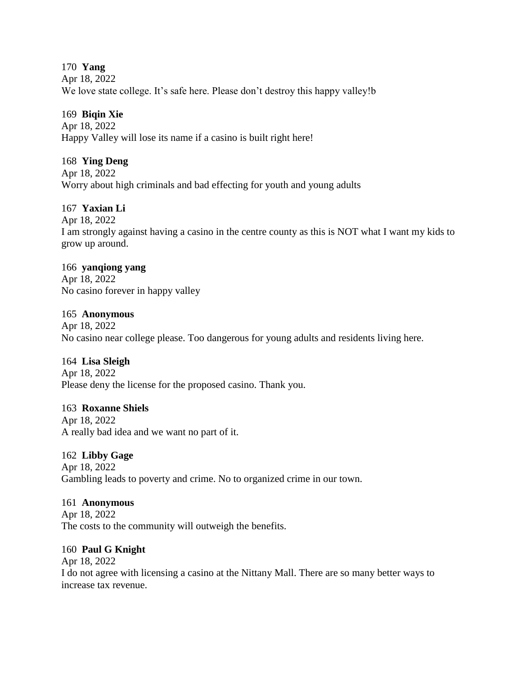170 **Yang** Apr 18, 2022 We love state college. It's safe here. Please don't destroy this happy valley!b

## 169 **Biqin Xie**

Apr 18, 2022 Happy Valley will lose its name if a casino is built right here!

## 168 **Ying Deng**

Apr 18, 2022 Worry about high criminals and bad effecting for youth and young adults

## 167 **Yaxian Li**

Apr 18, 2022

I am strongly against having a casino in the centre county as this is NOT what I want my kids to grow up around.

## 166 **yanqiong yang**

Apr 18, 2022 No casino forever in happy valley

## 165 **Anonymous**

Apr 18, 2022 No casino near college please. Too dangerous for young adults and residents living here.

## 164 **Lisa Sleigh**

Apr 18, 2022 Please deny the license for the proposed casino. Thank you.

## 163 **Roxanne Shiels**

Apr 18, 2022 A really bad idea and we want no part of it.

# 162 **Libby Gage**

Apr 18, 2022 Gambling leads to poverty and crime. No to organized crime in our town.

## 161 **Anonymous**

Apr 18, 2022 The costs to the community will outweigh the benefits.

## 160 **Paul G Knight**

Apr 18, 2022 I do not agree with licensing a casino at the Nittany Mall. There are so many better ways to increase tax revenue.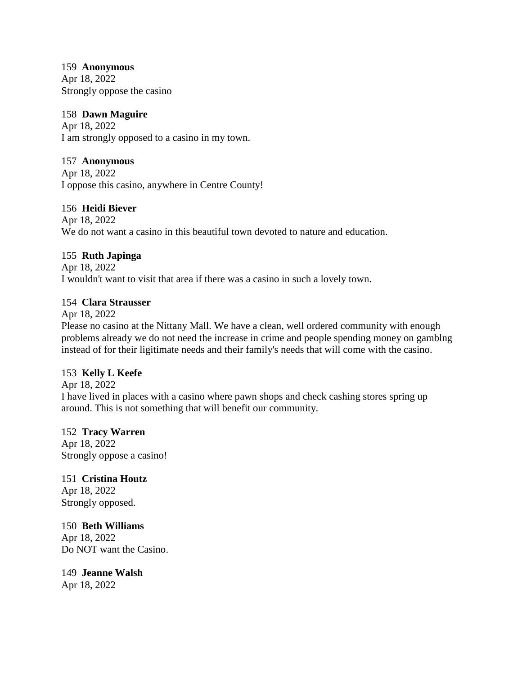#### 159 **Anonymous**

Apr 18, 2022 Strongly oppose the casino

## 158 **Dawn Maguire**

Apr 18, 2022 I am strongly opposed to a casino in my town.

## 157 **Anonymous**

Apr 18, 2022 I oppose this casino, anywhere in Centre County!

## 156 **Heidi Biever**

Apr 18, 2022 We do not want a casino in this beautiful town devoted to nature and education.

# 155 **Ruth Japinga**

Apr 18, 2022 I wouldn't want to visit that area if there was a casino in such a lovely town.

## 154 **Clara Strausser**

Apr 18, 2022

Please no casino at the Nittany Mall. We have a clean, well ordered community with enough problems already we do not need the increase in crime and people spending money on gamblng instead of for their ligitimate needs and their family's needs that will come with the casino.

# 153 **Kelly L Keefe**

Apr 18, 2022 I have lived in places with a casino where pawn shops and check cashing stores spring up around. This is not something that will benefit our community.

# 152 **Tracy Warren**

Apr 18, 2022 Strongly oppose a casino!

151 **Cristina Houtz** Apr 18, 2022 Strongly opposed.

150 **Beth Williams**  Apr 18, 2022 Do NOT want the Casino.

149 **Jeanne Walsh** Apr 18, 2022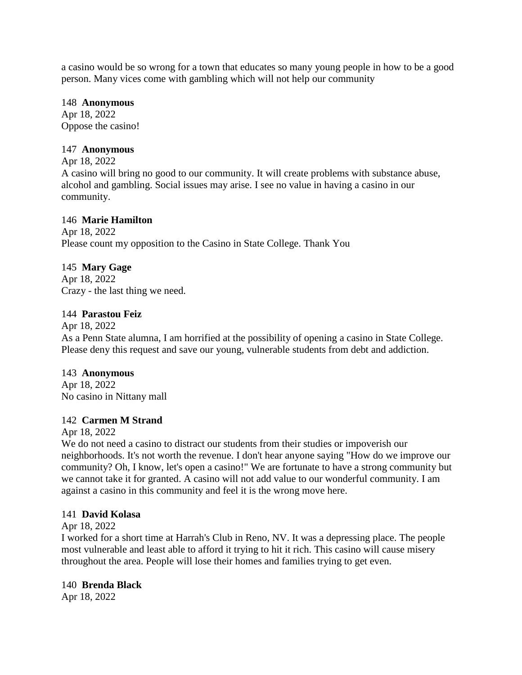a casino would be so wrong for a town that educates so many young people in how to be a good person. Many vices come with gambling which will not help our community

#### 148 **Anonymous**

Apr 18, 2022 Oppose the casino!

## 147 **Anonymous**

Apr 18, 2022 A casino will bring no good to our community. It will create problems with substance abuse, alcohol and gambling. Social issues may arise. I see no value in having a casino in our community.

## 146 **Marie Hamilton**

Apr 18, 2022 Please count my opposition to the Casino in State College. Thank You

# 145 **Mary Gage**

Apr 18, 2022 Crazy - the last thing we need.

## 144 **Parastou Feiz**

Apr 18, 2022

As a Penn State alumna, I am horrified at the possibility of opening a casino in State College. Please deny this request and save our young, vulnerable students from debt and addiction.

# 143 **Anonymous**

Apr 18, 2022 No casino in Nittany mall

# 142 **Carmen M Strand**

Apr 18, 2022

We do not need a casino to distract our students from their studies or impoverish our neighborhoods. It's not worth the revenue. I don't hear anyone saying "How do we improve our community? Oh, I know, let's open a casino!" We are fortunate to have a strong community but we cannot take it for granted. A casino will not add value to our wonderful community. I am against a casino in this community and feel it is the wrong move here.

## 141 **David Kolasa**

## Apr 18, 2022

I worked for a short time at Harrah's Club in Reno, NV. It was a depressing place. The people most vulnerable and least able to afford it trying to hit it rich. This casino will cause misery throughout the area. People will lose their homes and families trying to get even.

## 140 **Brenda Black**

Apr 18, 2022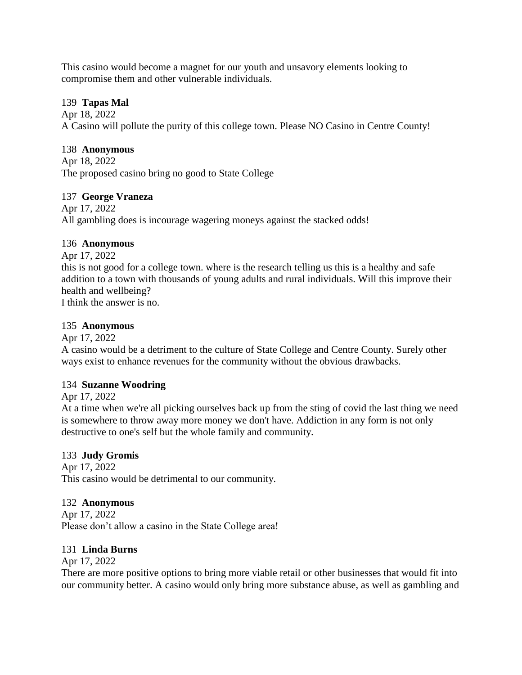This casino would become a magnet for our youth and unsavory elements looking to compromise them and other vulnerable individuals.

## 139 **Tapas Mal**

Apr 18, 2022 A Casino will pollute the purity of this college town. Please NO Casino in Centre County!

# 138 **Anonymous**

Apr 18, 2022 The proposed casino bring no good to State College

# 137 **George Vraneza**

Apr 17, 2022 All gambling does is incourage wagering moneys against the stacked odds!

# 136 **Anonymous**

Apr 17, 2022 this is not good for a college town. where is the research telling us this is a healthy and safe addition to a town with thousands of young adults and rural individuals. Will this improve their health and wellbeing? I think the answer is no.

# 135 **Anonymous**

Apr 17, 2022

A casino would be a detriment to the culture of State College and Centre County. Surely other ways exist to enhance revenues for the community without the obvious drawbacks.

# 134 **Suzanne Woodring**

Apr 17, 2022

At a time when we're all picking ourselves back up from the sting of covid the last thing we need is somewhere to throw away more money we don't have. Addiction in any form is not only destructive to one's self but the whole family and community.

# 133 **Judy Gromis**

Apr 17, 2022 This casino would be detrimental to our community.

# 132 **Anonymous**

Apr 17, 2022 Please don't allow a casino in the State College area!

# 131 **Linda Burns**

Apr 17, 2022

There are more positive options to bring more viable retail or other businesses that would fit into our community better. A casino would only bring more substance abuse, as well as gambling and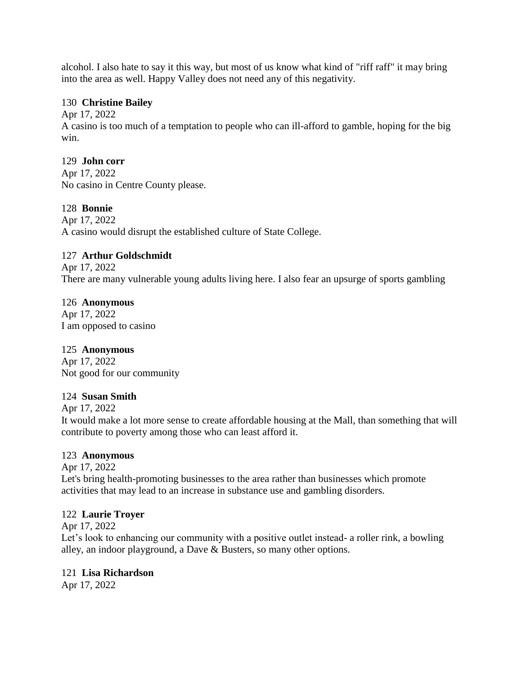alcohol. I also hate to say it this way, but most of us know what kind of "riff raff" it may bring into the area as well. Happy Valley does not need any of this negativity.

## 130 **Christine Bailey**

Apr 17, 2022

A casino is too much of a temptation to people who can ill-afford to gamble, hoping for the big win.

## 129 **John corr**

Apr 17, 2022 No casino in Centre County please.

# 128 **Bonnie**

Apr 17, 2022 A casino would disrupt the established culture of State College.

# 127 **Arthur Goldschmidt**

Apr 17, 2022 There are many vulnerable young adults living here. I also fear an upsurge of sports gambling

## 126 **Anonymous**

Apr 17, 2022 I am opposed to casino

# 125 **Anonymous**

Apr 17, 2022 Not good for our community

# 124 **Susan Smith**

Apr 17, 2022

It would make a lot more sense to create affordable housing at the Mall, than something that will contribute to poverty among those who can least afford it.

# 123 **Anonymous**

Apr 17, 2022

Let's bring health-promoting businesses to the area rather than businesses which promote activities that may lead to an increase in substance use and gambling disorders.

# 122 **Laurie Troyer**

Apr 17, 2022

Let's look to enhancing our community with a positive outlet instead- a roller rink, a bowling alley, an indoor playground, a Dave & Busters, so many other options.

## 121 **Lisa Richardson**

Apr 17, 2022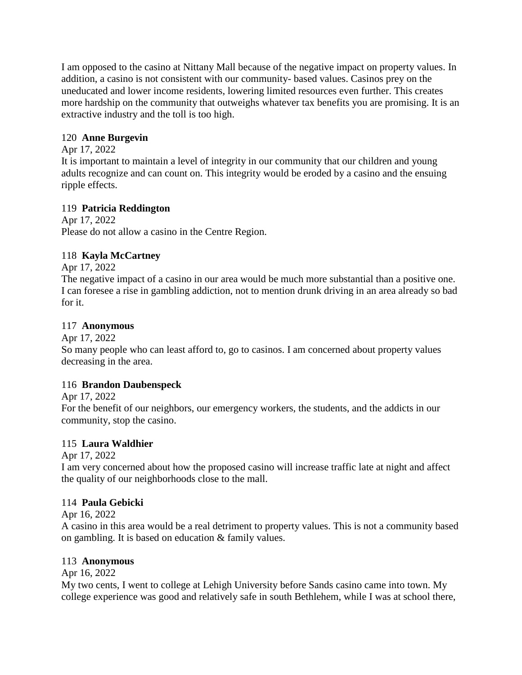I am opposed to the casino at Nittany Mall because of the negative impact on property values. In addition, a casino is not consistent with our community- based values. Casinos prey on the uneducated and lower income residents, lowering limited resources even further. This creates more hardship on the community that outweighs whatever tax benefits you are promising. It is an extractive industry and the toll is too high.

# 120 **Anne Burgevin**

# Apr 17, 2022

It is important to maintain a level of integrity in our community that our children and young adults recognize and can count on. This integrity would be eroded by a casino and the ensuing ripple effects.

# 119 **Patricia Reddington**

Apr 17, 2022 Please do not allow a casino in the Centre Region.

# 118 **Kayla McCartney**

Apr 17, 2022

The negative impact of a casino in our area would be much more substantial than a positive one. I can foresee a rise in gambling addiction, not to mention drunk driving in an area already so bad for it.

# 117 **Anonymous**

Apr 17, 2022

So many people who can least afford to, go to casinos. I am concerned about property values decreasing in the area.

# 116 **Brandon Daubenspeck**

Apr 17, 2022

For the benefit of our neighbors, our emergency workers, the students, and the addicts in our community, stop the casino.

# 115 **Laura Waldhier**

Apr 17, 2022

I am very concerned about how the proposed casino will increase traffic late at night and affect the quality of our neighborhoods close to the mall.

# 114 **Paula Gebicki**

Apr 16, 2022

A casino in this area would be a real detriment to property values. This is not a community based on gambling. It is based on education & family values.

# 113 **Anonymous**

Apr 16, 2022

My two cents, I went to college at Lehigh University before Sands casino came into town. My college experience was good and relatively safe in south Bethlehem, while I was at school there,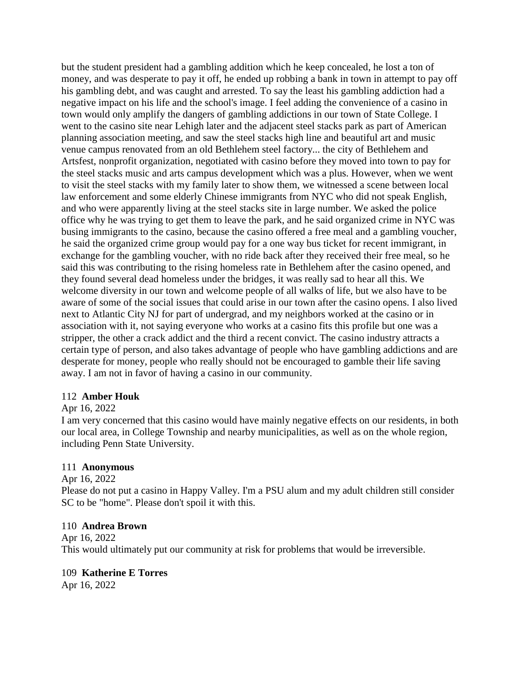but the student president had a gambling addition which he keep concealed, he lost a ton of money, and was desperate to pay it off, he ended up robbing a bank in town in attempt to pay off his gambling debt, and was caught and arrested. To say the least his gambling addiction had a negative impact on his life and the school's image. I feel adding the convenience of a casino in town would only amplify the dangers of gambling addictions in our town of State College. I went to the casino site near Lehigh later and the adjacent steel stacks park as part of American planning association meeting, and saw the steel stacks high line and beautiful art and music venue campus renovated from an old Bethlehem steel factory... the city of Bethlehem and Artsfest, nonprofit organization, negotiated with casino before they moved into town to pay for the steel stacks music and arts campus development which was a plus. However, when we went to visit the steel stacks with my family later to show them, we witnessed a scene between local law enforcement and some elderly Chinese immigrants from NYC who did not speak English, and who were apparently living at the steel stacks site in large number. We asked the police office why he was trying to get them to leave the park, and he said organized crime in NYC was busing immigrants to the casino, because the casino offered a free meal and a gambling voucher, he said the organized crime group would pay for a one way bus ticket for recent immigrant, in exchange for the gambling voucher, with no ride back after they received their free meal, so he said this was contributing to the rising homeless rate in Bethlehem after the casino opened, and they found several dead homeless under the bridges, it was really sad to hear all this. We welcome diversity in our town and welcome people of all walks of life, but we also have to be aware of some of the social issues that could arise in our town after the casino opens. I also lived next to Atlantic City NJ for part of undergrad, and my neighbors worked at the casino or in association with it, not saying everyone who works at a casino fits this profile but one was a stripper, the other a crack addict and the third a recent convict. The casino industry attracts a certain type of person, and also takes advantage of people who have gambling addictions and are desperate for money, people who really should not be encouraged to gamble their life saving away. I am not in favor of having a casino in our community.

## 112 **Amber Houk**

## Apr 16, 2022

I am very concerned that this casino would have mainly negative effects on our residents, in both our local area, in College Township and nearby municipalities, as well as on the whole region, including Penn State University.

## 111 **Anonymous**

Apr 16, 2022 Please do not put a casino in Happy Valley. I'm a PSU alum and my adult children still consider SC to be "home". Please don't spoil it with this.

## 110 **Andrea Brown**

Apr 16, 2022 This would ultimately put our community at risk for problems that would be irreversible.

# 109 **Katherine E Torres**

Apr 16, 2022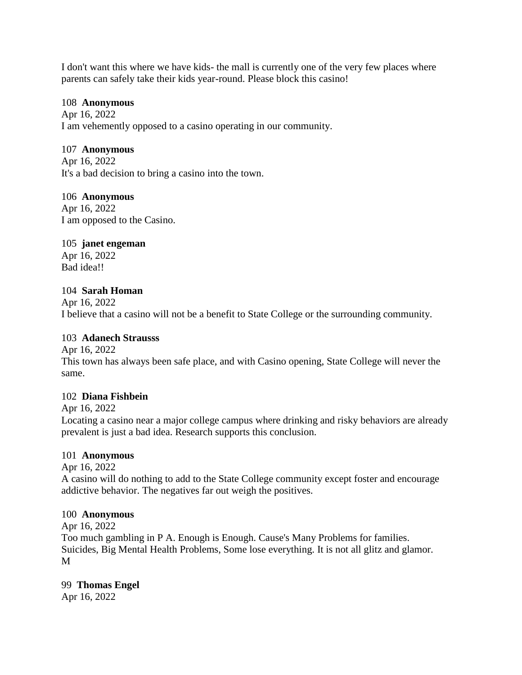I don't want this where we have kids- the mall is currently one of the very few places where parents can safely take their kids year-round. Please block this casino!

#### 108 **Anonymous**

Apr 16, 2022 I am vehemently opposed to a casino operating in our community.

## 107 **Anonymous**

Apr 16, 2022 It's a bad decision to bring a casino into the town.

## 106 **Anonymous**

Apr 16, 2022 I am opposed to the Casino.

## 105 **janet engeman**

Apr 16, 2022 Bad idea!!

## 104 **Sarah Homan**

Apr 16, 2022 I believe that a casino will not be a benefit to State College or the surrounding community.

## 103 **Adanech Strausss**

Apr 16, 2022 This town has always been safe place, and with Casino opening, State College will never the same.

## 102 **Diana Fishbein**

Apr 16, 2022 Locating a casino near a major college campus where drinking and risky behaviors are already prevalent is just a bad idea. Research supports this conclusion.

## 101 **Anonymous**

Apr 16, 2022

A casino will do nothing to add to the State College community except foster and encourage addictive behavior. The negatives far out weigh the positives.

## 100 **Anonymous**

Apr 16, 2022

Too much gambling in P A. Enough is Enough. Cause's Many Problems for families. Suicides, Big Mental Health Problems, Some lose everything. It is not all glitz and glamor. M

## 99 **Thomas Engel**

Apr 16, 2022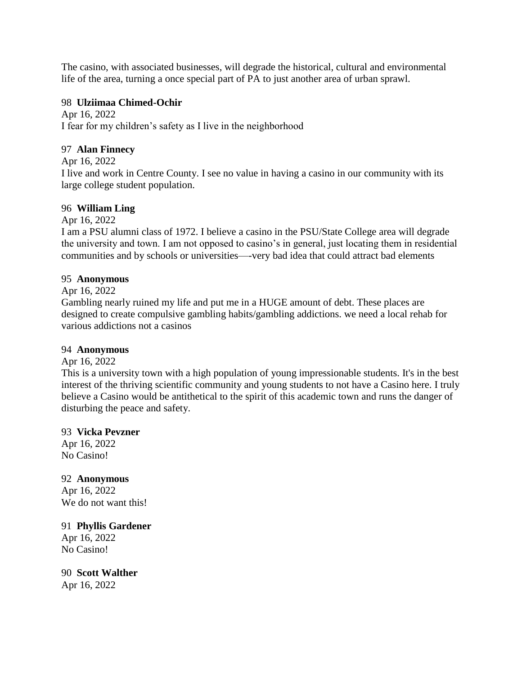The casino, with associated businesses, will degrade the historical, cultural and environmental life of the area, turning a once special part of PA to just another area of urban sprawl.

## 98 **Ulziimaa Chimed-Ochir**

Apr 16, 2022 I fear for my children's safety as I live in the neighborhood

## 97 **Alan Finnecy**

Apr 16, 2022

I live and work in Centre County. I see no value in having a casino in our community with its large college student population.

## 96 **William Ling**

Apr 16, 2022

I am a PSU alumni class of 1972. I believe a casino in the PSU/State College area will degrade the university and town. I am not opposed to casino's in general, just locating them in residential communities and by schools or universities—-very bad idea that could attract bad elements

## 95 **Anonymous**

Apr 16, 2022

Gambling nearly ruined my life and put me in a HUGE amount of debt. These places are designed to create compulsive gambling habits/gambling addictions. we need a local rehab for various addictions not a casinos

## 94 **Anonymous**

Apr 16, 2022

This is a university town with a high population of young impressionable students. It's in the best interest of the thriving scientific community and young students to not have a Casino here. I truly believe a Casino would be antithetical to the spirit of this academic town and runs the danger of disturbing the peace and safety.

# 93 **Vicka Pevzner**

Apr 16, 2022 No Casino!

92 **Anonymous** Apr 16, 2022 We do not want this!

91 **Phyllis Gardener** Apr 16, 2022 No Casino!

90 **Scott Walther** Apr 16, 2022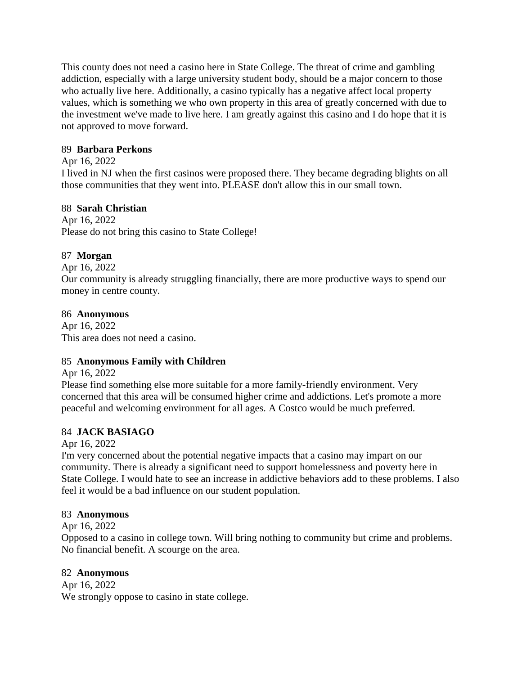This county does not need a casino here in State College. The threat of crime and gambling addiction, especially with a large university student body, should be a major concern to those who actually live here. Additionally, a casino typically has a negative affect local property values, which is something we who own property in this area of greatly concerned with due to the investment we've made to live here. I am greatly against this casino and I do hope that it is not approved to move forward.

## 89 **Barbara Perkons**

## Apr 16, 2022

I lived in NJ when the first casinos were proposed there. They became degrading blights on all those communities that they went into. PLEASE don't allow this in our small town.

## 88 **Sarah Christian**

Apr 16, 2022 Please do not bring this casino to State College!

# 87 **Morgan**

Apr 16, 2022

Our community is already struggling financially, there are more productive ways to spend our money in centre county.

# 86 **Anonymous**

Apr 16, 2022 This area does not need a casino.

# 85 **Anonymous Family with Children**

Apr 16, 2022

Please find something else more suitable for a more family-friendly environment. Very concerned that this area will be consumed higher crime and addictions. Let's promote a more peaceful and welcoming environment for all ages. A Costco would be much preferred.

# 84 **JACK BASIAGO**

Apr 16, 2022

I'm very concerned about the potential negative impacts that a casino may impart on our community. There is already a significant need to support homelessness and poverty here in State College. I would hate to see an increase in addictive behaviors add to these problems. I also feel it would be a bad influence on our student population.

## 83 **Anonymous**

Apr 16, 2022

Opposed to a casino in college town. Will bring nothing to community but crime and problems. No financial benefit. A scourge on the area.

# 82 **Anonymous**

Apr 16, 2022 We strongly oppose to casino in state college.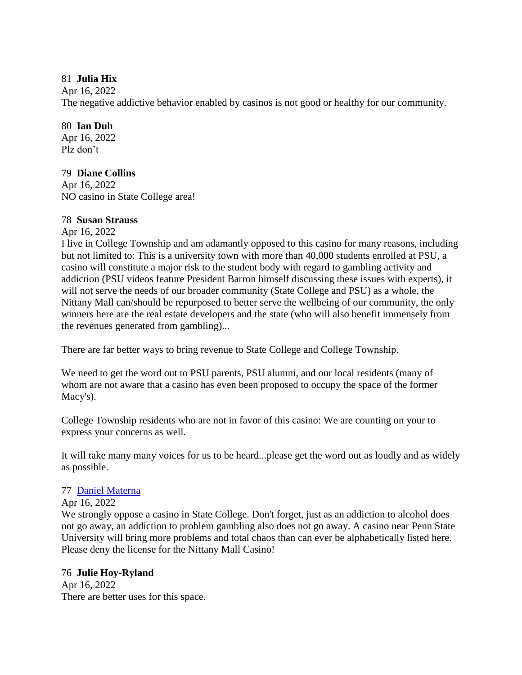## 81 **Julia Hix**

Apr 16, 2022

The negative addictive behavior enabled by casinos is not good or healthy for our community.

# 80 **Ian Duh**

Apr 16, 2022 Plz don't

# 79 **Diane Collins**

Apr 16, 2022 NO casino in State College area!

# 78 **Susan Strauss**

Apr 16, 2022

I live in College Township and am adamantly opposed to this casino for many reasons, including but not limited to: This is a university town with more than 40,000 students enrolled at PSU, a casino will constitute a major risk to the student body with regard to gambling activity and addiction (PSU videos feature President Barron himself discussing these issues with experts), it will not serve the needs of our broader community (State College and PSU) as a whole, the Nittany Mall can/should be repurposed to better serve the wellbeing of our community, the only winners here are the real estate developers and the state (who will also benefit immensely from the revenues generated from gambling)...

There are far better ways to bring revenue to State College and College Township.

We need to get the word out to PSU parents, PSU alumni, and our local residents (many of whom are not aware that a casino has even been proposed to occupy the space of the former Macy's).

College Township residents who are not in favor of this casino: We are counting on your to express your concerns as well.

It will take many many voices for us to be heard...please get the word out as loudly and as widely as possible.

# 77 [Daniel Materna](https://www.ipetitions.com/user/daniel-materna/19484901)

Apr 16, 2022

We strongly oppose a casino in State College. Don't forget, just as an addiction to alcohol does not go away, an addiction to problem gambling also does not go away. A casino near Penn State University will bring more problems and total chaos than can ever be alphabetically listed here. Please deny the license for the Nittany Mall Casino!

# 76 **Julie Hoy-Ryland**

Apr 16, 2022 There are better uses for this space.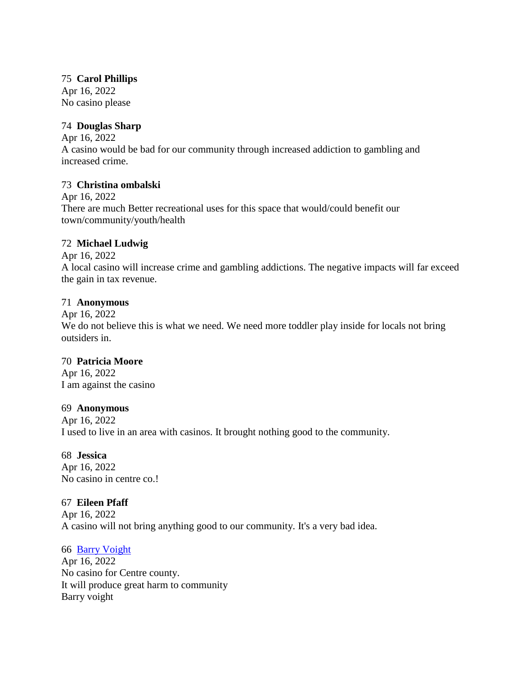## 75 **Carol Phillips**

Apr 16, 2022 No casino please

# 74 **Douglas Sharp**

Apr 16, 2022 A casino would be bad for our community through increased addiction to gambling and increased crime.

## 73 **Christina ombalski**

Apr 16, 2022 There are much Better recreational uses for this space that would/could benefit our town/community/youth/health

## 72 **Michael Ludwig**

Apr 16, 2022 A local casino will increase crime and gambling addictions. The negative impacts will far exceed the gain in tax revenue.

## 71 **Anonymous**

Apr 16, 2022 We do not believe this is what we need. We need more toddler play inside for locals not bring outsiders in.

## 70 **Patricia Moore**

Apr 16, 2022 I am against the casino

## 69 **Anonymous**

Apr 16, 2022 I used to live in an area with casinos. It brought nothing good to the community.

## 68 **Jessica**

Apr 16, 2022 No casino in centre co.!

## 67 **Eileen Pfaff**

Apr 16, 2022 A casino will not bring anything good to our community. It's a very bad idea.

## 66 [Barry Voight](https://www.ipetitions.com/user/barry-voight/19485337)

Apr 16, 2022 No casino for Centre county. It will produce great harm to community Barry voight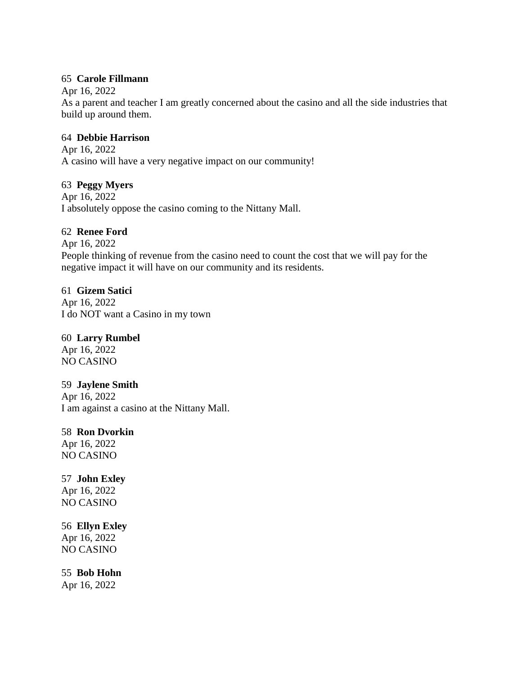## 65 **Carole Fillmann**

Apr 16, 2022

As a parent and teacher I am greatly concerned about the casino and all the side industries that build up around them.

#### 64 **Debbie Harrison**

Apr 16, 2022 A casino will have a very negative impact on our community!

#### 63 **Peggy Myers**

Apr 16, 2022 I absolutely oppose the casino coming to the Nittany Mall.

#### 62 **Renee Ford**

Apr 16, 2022 People thinking of revenue from the casino need to count the cost that we will pay for the negative impact it will have on our community and its residents.

#### 61 **Gizem Satici**

Apr 16, 2022 I do NOT want a Casino in my town

## 60 **Larry Rumbel**

Apr 16, 2022 NO CASINO

## 59 **Jaylene Smith**

Apr 16, 2022 I am against a casino at the Nittany Mall.

## 58 **Ron Dvorkin**

Apr 16, 2022 NO CASINO

## 57 **John Exley**

Apr 16, 2022 NO CASINO

## 56 **Ellyn Exley**

Apr 16, 2022 NO CASINO

## 55 **Bob Hohn**

Apr 16, 2022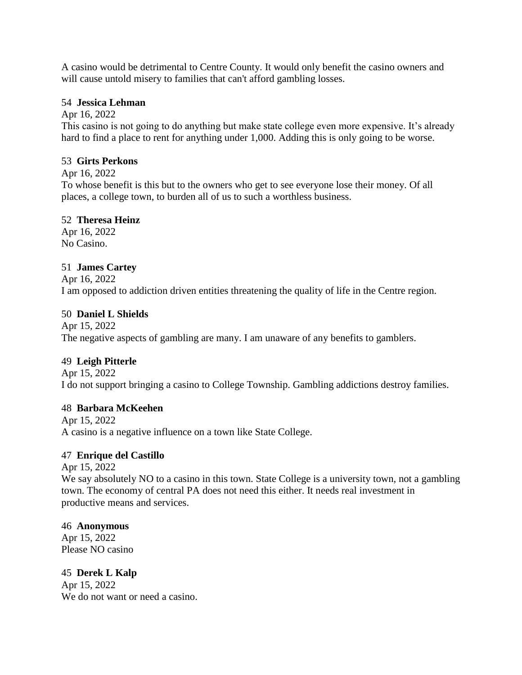A casino would be detrimental to Centre County. It would only benefit the casino owners and will cause untold misery to families that can't afford gambling losses.

## 54 **Jessica Lehman**

Apr 16, 2022

This casino is not going to do anything but make state college even more expensive. It's already hard to find a place to rent for anything under 1,000. Adding this is only going to be worse.

## 53 **Girts Perkons**

Apr 16, 2022

To whose benefit is this but to the owners who get to see everyone lose their money. Of all places, a college town, to burden all of us to such a worthless business.

## 52 **Theresa Heinz**

Apr 16, 2022 No Casino.

# 51 **James Cartey**

Apr 16, 2022 I am opposed to addiction driven entities threatening the quality of life in the Centre region.

# 50 **Daniel L Shields**

Apr 15, 2022 The negative aspects of gambling are many. I am unaware of any benefits to gamblers.

# 49 **Leigh Pitterle**

Apr 15, 2022 I do not support bringing a casino to College Township. Gambling addictions destroy families.

# 48 **Barbara McKeehen**

Apr 15, 2022 A casino is a negative influence on a town like State College.

# 47 **Enrique del Castillo**

Apr 15, 2022 We say absolutely NO to a casino in this town. State College is a university town, not a gambling town. The economy of central PA does not need this either. It needs real investment in productive means and services.

## 46 **Anonymous**

Apr 15, 2022 Please NO casino

45 **Derek L Kalp** Apr 15, 2022 We do not want or need a casino.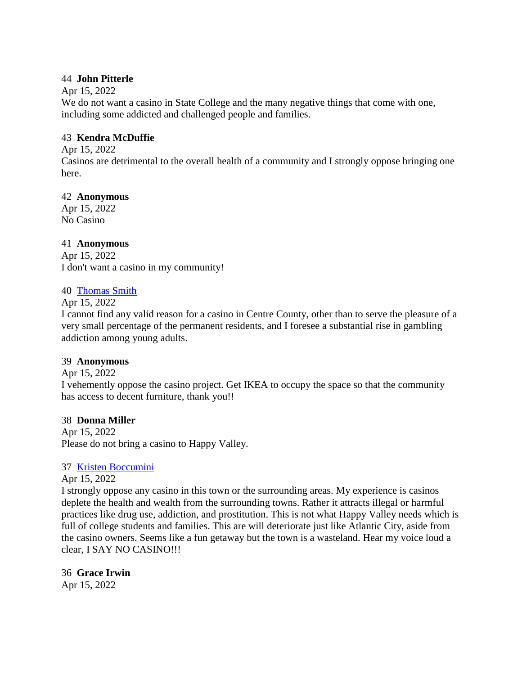## 44 **John Pitterle**

## Apr 15, 2022

We do not want a casino in State College and the many negative things that come with one, including some addicted and challenged people and families.

## 43 **Kendra McDuffie**

Apr 15, 2022

Casinos are detrimental to the overall health of a community and I strongly oppose bringing one here.

# 42 **Anonymous**

Apr 15, 2022 No Casino

## 41 **Anonymous**

Apr 15, 2022 I don't want a casino in my community!

## 40 [Thomas Smith](https://www.ipetitions.com/user/thomas-smith/19485026)

Apr 15, 2022

I cannot find any valid reason for a casino in Centre County, other than to serve the pleasure of a very small percentage of the permanent residents, and I foresee a substantial rise in gambling addiction among young adults.

# 39 **Anonymous**

Apr 15, 2022 I vehemently oppose the casino project. Get IKEA to occupy the space so that the community has access to decent furniture, thank you!!

## 38 **Donna Miller**

Apr 15, 2022 Please do not bring a casino to Happy Valley.

# 37 [Kristen Boccumini](https://www.ipetitions.com/user/kristen-boccumini/19484482)

## Apr 15, 2022

I strongly oppose any casino in this town or the surrounding areas. My experience is casinos deplete the health and wealth from the surrounding towns. Rather it attracts illegal or harmful practices like drug use, addiction, and prostitution. This is not what Happy Valley needs which is full of college students and families. This are will deteriorate just like Atlantic City, aside from the casino owners. Seems like a fun getaway but the town is a wasteland. Hear my voice loud a clear, I SAY NO CASINO!!!

36 **Grace Irwin** Apr 15, 2022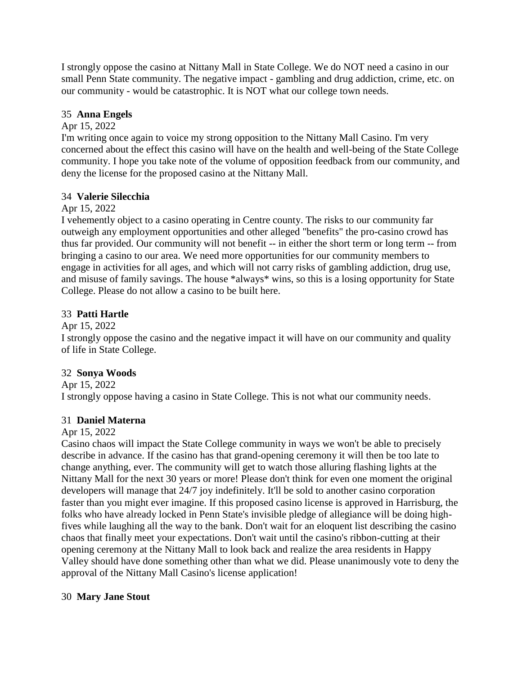I strongly oppose the casino at Nittany Mall in State College. We do NOT need a casino in our small Penn State community. The negative impact - gambling and drug addiction, crime, etc. on our community - would be catastrophic. It is NOT what our college town needs.

# 35 **Anna Engels**

## Apr 15, 2022

I'm writing once again to voice my strong opposition to the Nittany Mall Casino. I'm very concerned about the effect this casino will have on the health and well-being of the State College community. I hope you take note of the volume of opposition feedback from our community, and deny the license for the proposed casino at the Nittany Mall.

## 34 **Valerie Silecchia**

## Apr 15, 2022

I vehemently object to a casino operating in Centre county. The risks to our community far outweigh any employment opportunities and other alleged "benefits" the pro-casino crowd has thus far provided. Our community will not benefit -- in either the short term or long term -- from bringing a casino to our area. We need more opportunities for our community members to engage in activities for all ages, and which will not carry risks of gambling addiction, drug use, and misuse of family savings. The house \*always\* wins, so this is a losing opportunity for State College. Please do not allow a casino to be built here.

## 33 **Patti Hartle**

Apr 15, 2022

I strongly oppose the casino and the negative impact it will have on our community and quality of life in State College.

# 32 **Sonya Woods**

Apr 15, 2022

I strongly oppose having a casino in State College. This is not what our community needs.

## 31 **Daniel Materna**

## Apr 15, 2022

Casino chaos will impact the State College community in ways we won't be able to precisely describe in advance. If the casino has that grand-opening ceremony it will then be too late to change anything, ever. The community will get to watch those alluring flashing lights at the Nittany Mall for the next 30 years or more! Please don't think for even one moment the original developers will manage that 24/7 joy indefinitely. It'll be sold to another casino corporation faster than you might ever imagine. If this proposed casino license is approved in Harrisburg, the folks who have already locked in Penn State's invisible pledge of allegiance will be doing highfives while laughing all the way to the bank. Don't wait for an eloquent list describing the casino chaos that finally meet your expectations. Don't wait until the casino's ribbon-cutting at their opening ceremony at the Nittany Mall to look back and realize the area residents in Happy Valley should have done something other than what we did. Please unanimously vote to deny the approval of the Nittany Mall Casino's license application!

## 30 **Mary Jane Stout**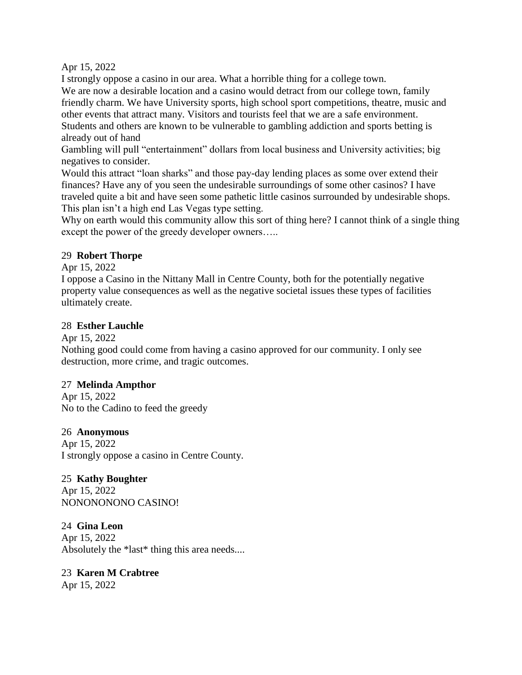Apr 15, 2022

I strongly oppose a casino in our area. What a horrible thing for a college town. We are now a desirable location and a casino would detract from our college town, family friendly charm. We have University sports, high school sport competitions, theatre, music and other events that attract many. Visitors and tourists feel that we are a safe environment. Students and others are known to be vulnerable to gambling addiction and sports betting is already out of hand

Gambling will pull "entertainment" dollars from local business and University activities; big negatives to consider.

Would this attract "loan sharks" and those pay-day lending places as some over extend their finances? Have any of you seen the undesirable surroundings of some other casinos? I have traveled quite a bit and have seen some pathetic little casinos surrounded by undesirable shops. This plan isn't a high end Las Vegas type setting.

Why on earth would this community allow this sort of thing here? I cannot think of a single thing except the power of the greedy developer owners…..

## 29 **Robert Thorpe**

Apr 15, 2022

I oppose a Casino in the Nittany Mall in Centre County, both for the potentially negative property value consequences as well as the negative societal issues these types of facilities ultimately create.

# 28 **Esther Lauchle**

Apr 15, 2022

Nothing good could come from having a casino approved for our community. I only see destruction, more crime, and tragic outcomes.

# 27 **Melinda Ampthor**

Apr 15, 2022 No to the Cadino to feed the greedy

## 26 **Anonymous**

Apr 15, 2022 I strongly oppose a casino in Centre County.

25 **Kathy Boughter** Apr 15, 2022

NONONONONO CASINO!

24 **Gina Leon** Apr 15, 2022 Absolutely the \*last\* thing this area needs....

# 23 **Karen M Crabtree**

Apr 15, 2022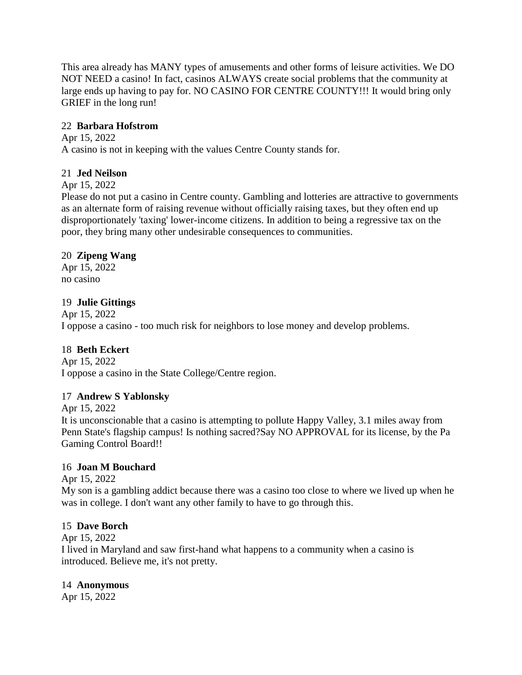This area already has MANY types of amusements and other forms of leisure activities. We DO NOT NEED a casino! In fact, casinos ALWAYS create social problems that the community at large ends up having to pay for. NO CASINO FOR CENTRE COUNTY!!! It would bring only GRIEF in the long run!

## 22 **Barbara Hofstrom**

Apr 15, 2022 A casino is not in keeping with the values Centre County stands for.

## 21 **Jed Neilson**

Apr 15, 2022

Please do not put a casino in Centre county. Gambling and lotteries are attractive to governments as an alternate form of raising revenue without officially raising taxes, but they often end up disproportionately 'taxing' lower-income citizens. In addition to being a regressive tax on the poor, they bring many other undesirable consequences to communities.

## 20 **Zipeng Wang**

Apr 15, 2022 no casino

# 19 **Julie Gittings**

Apr 15, 2022 I oppose a casino - too much risk for neighbors to lose money and develop problems.

# 18 **Beth Eckert**

Apr 15, 2022 I oppose a casino in the State College/Centre region.

# 17 **Andrew S Yablonsky**

Apr 15, 2022 It is unconscionable that a casino is attempting to pollute Happy Valley, 3.1 miles away from Penn State's flagship campus! Is nothing sacred?Say NO APPROVAL for its license, by the Pa Gaming Control Board!!

## 16 **Joan M Bouchard**

Apr 15, 2022

My son is a gambling addict because there was a casino too close to where we lived up when he was in college. I don't want any other family to have to go through this.

## 15 **Dave Borch**

Apr 15, 2022

I lived in Maryland and saw first-hand what happens to a community when a casino is introduced. Believe me, it's not pretty.

## 14 **Anonymous**

Apr 15, 2022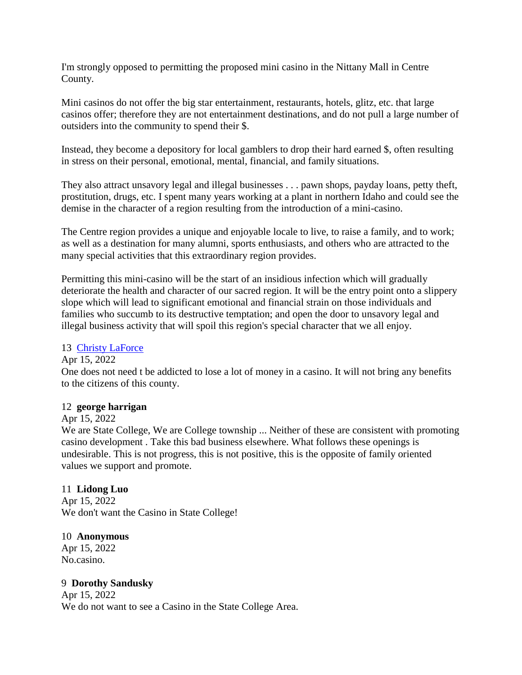I'm strongly opposed to permitting the proposed mini casino in the Nittany Mall in Centre County.

Mini casinos do not offer the big star entertainment, restaurants, hotels, glitz, etc. that large casinos offer; therefore they are not entertainment destinations, and do not pull a large number of outsiders into the community to spend their \$.

Instead, they become a depository for local gamblers to drop their hard earned \$, often resulting in stress on their personal, emotional, mental, financial, and family situations.

They also attract unsavory legal and illegal businesses . . . pawn shops, payday loans, petty theft, prostitution, drugs, etc. I spent many years working at a plant in northern Idaho and could see the demise in the character of a region resulting from the introduction of a mini-casino.

The Centre region provides a unique and enjoyable locale to live, to raise a family, and to work; as well as a destination for many alumni, sports enthusiasts, and others who are attracted to the many special activities that this extraordinary region provides.

Permitting this mini-casino will be the start of an insidious infection which will gradually deteriorate the health and character of our sacred region. It will be the entry point onto a slippery slope which will lead to significant emotional and financial strain on those individuals and families who succumb to its destructive temptation; and open the door to unsavory legal and illegal business activity that will spoil this region's special character that we all enjoy.

## 13 [Christy LaForce](https://www.ipetitions.com/user/christy-laforce/19484787)

## Apr 15, 2022

One does not need t be addicted to lose a lot of money in a casino. It will not bring any benefits to the citizens of this county.

## 12 **george harrigan**

## Apr 15, 2022

We are State College, We are College township ... Neither of these are consistent with promoting casino development . Take this bad business elsewhere. What follows these openings is undesirable. This is not progress, this is not positive, this is the opposite of family oriented values we support and promote.

## 11 **Lidong Luo**

Apr 15, 2022 We don't want the Casino in State College!

## 10 **Anonymous**

Apr 15, 2022 No.casino.

## 9 **Dorothy Sandusky**

Apr 15, 2022 We do not want to see a Casino in the State College Area.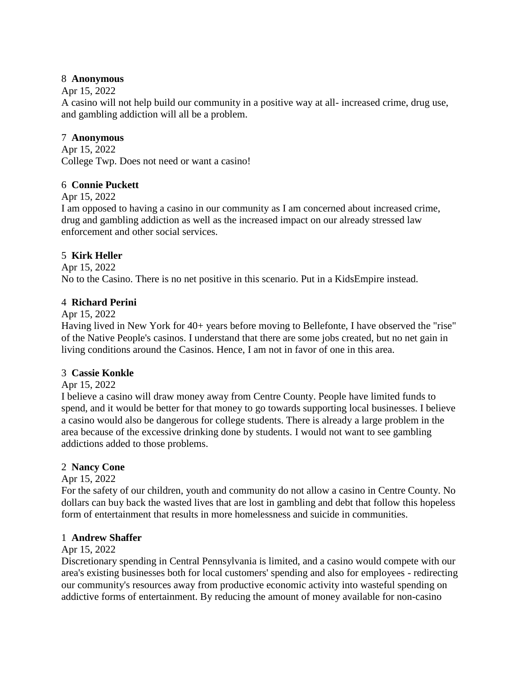## 8 **Anonymous**

## Apr 15, 2022

A casino will not help build our community in a positive way at all- increased crime, drug use, and gambling addiction will all be a problem.

## 7 **Anonymous**

Apr 15, 2022 College Twp. Does not need or want a casino!

## 6 **Connie Puckett**

Apr 15, 2022

I am opposed to having a casino in our community as I am concerned about increased crime, drug and gambling addiction as well as the increased impact on our already stressed law enforcement and other social services.

# 5 **Kirk Heller**

Apr 15, 2022 No to the Casino. There is no net positive in this scenario. Put in a KidsEmpire instead.

## 4 **Richard Perini**

## Apr 15, 2022

Having lived in New York for 40+ years before moving to Bellefonte, I have observed the "rise" of the Native People's casinos. I understand that there are some jobs created, but no net gain in living conditions around the Casinos. Hence, I am not in favor of one in this area.

## 3 **Cassie Konkle**

# Apr 15, 2022

I believe a casino will draw money away from Centre County. People have limited funds to spend, and it would be better for that money to go towards supporting local businesses. I believe a casino would also be dangerous for college students. There is already a large problem in the area because of the excessive drinking done by students. I would not want to see gambling addictions added to those problems.

# 2 **Nancy Cone**

## Apr 15, 2022

For the safety of our children, youth and community do not allow a casino in Centre County. No dollars can buy back the wasted lives that are lost in gambling and debt that follow this hopeless form of entertainment that results in more homelessness and suicide in communities.

## 1 **Andrew Shaffer**

## Apr 15, 2022

Discretionary spending in Central Pennsylvania is limited, and a casino would compete with our area's existing businesses both for local customers' spending and also for employees - redirecting our community's resources away from productive economic activity into wasteful spending on addictive forms of entertainment. By reducing the amount of money available for non-casino